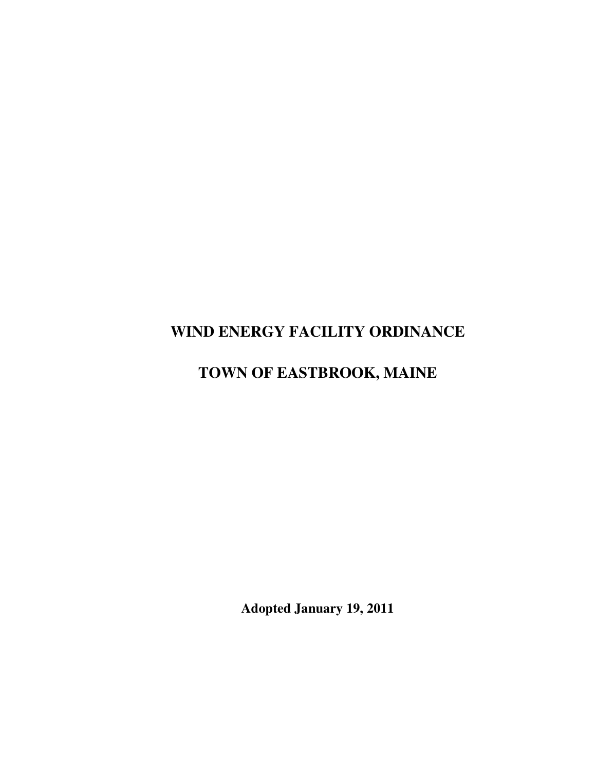# **WIND ENERGY FACILITY ORDINANCE**

# **TOWN OF EASTBROOK, MAINE**

**Adopted January 19, 2011**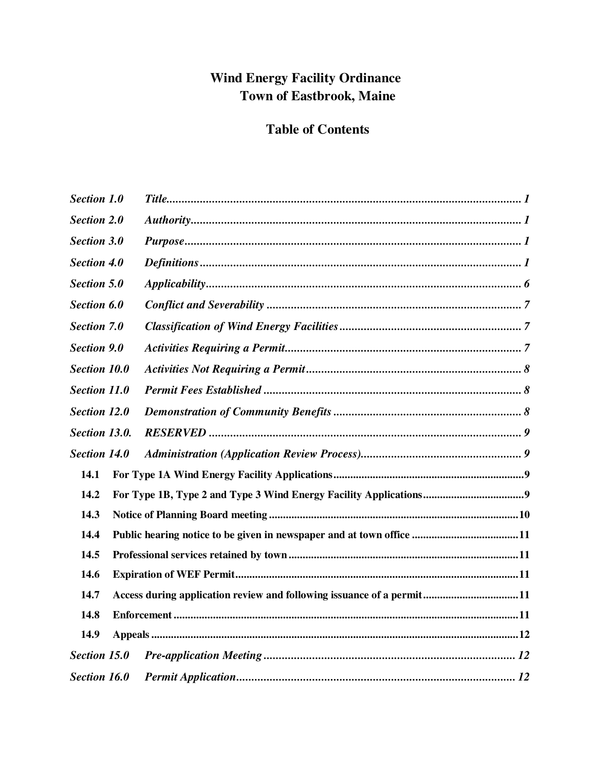# **Wind Energy Facility Ordinance** Town of Eastbrook, Maine

# **Table of Contents**

| <b>Section 1.0</b>  |                                                                       |  |
|---------------------|-----------------------------------------------------------------------|--|
| <b>Section 2.0</b>  |                                                                       |  |
| <b>Section 3.0</b>  |                                                                       |  |
| <b>Section 4.0</b>  |                                                                       |  |
| <b>Section 5.0</b>  |                                                                       |  |
| Section 6.0         |                                                                       |  |
| <b>Section 7.0</b>  |                                                                       |  |
| <b>Section 9.0</b>  |                                                                       |  |
| <b>Section 10.0</b> |                                                                       |  |
| <b>Section 11.0</b> |                                                                       |  |
| <b>Section 12.0</b> |                                                                       |  |
| Section 13.0.       |                                                                       |  |
| <b>Section 14.0</b> |                                                                       |  |
| 14.1                |                                                                       |  |
| 14.2                |                                                                       |  |
| 14.3                |                                                                       |  |
| 14.4                |                                                                       |  |
| 14.5                |                                                                       |  |
| 14.6                |                                                                       |  |
| 14.7                | Access during application review and following issuance of a permit11 |  |
| 14.8                |                                                                       |  |
| 14.9                |                                                                       |  |
| <b>Section 15.0</b> |                                                                       |  |
| Section 16.0        |                                                                       |  |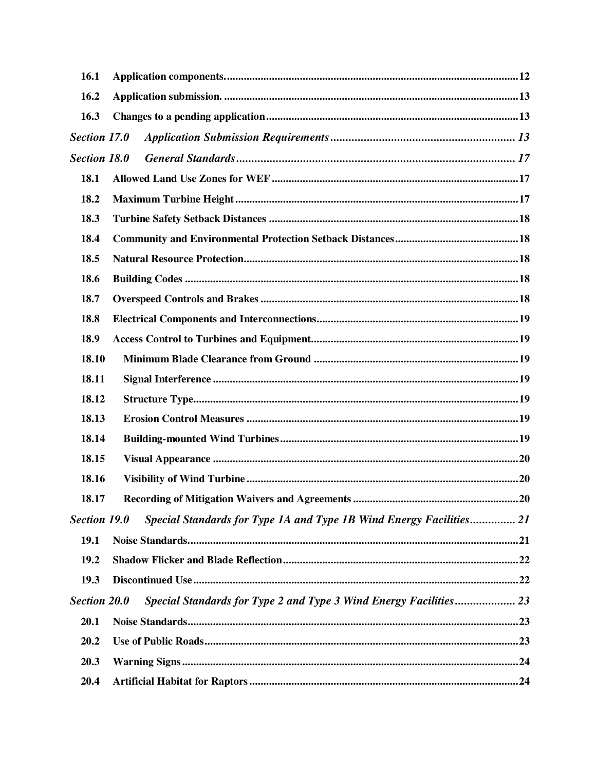| 16.1                |                                                                     |  |  |  |  |
|---------------------|---------------------------------------------------------------------|--|--|--|--|
| 16.2                |                                                                     |  |  |  |  |
| 16.3                |                                                                     |  |  |  |  |
| Section 17.0        |                                                                     |  |  |  |  |
| <b>Section 18.0</b> |                                                                     |  |  |  |  |
| 18.1                |                                                                     |  |  |  |  |
| 18.2                |                                                                     |  |  |  |  |
| 18.3                |                                                                     |  |  |  |  |
| 18.4                |                                                                     |  |  |  |  |
| 18.5                |                                                                     |  |  |  |  |
| 18.6                |                                                                     |  |  |  |  |
| 18.7                |                                                                     |  |  |  |  |
| 18.8                |                                                                     |  |  |  |  |
| 18.9                |                                                                     |  |  |  |  |
| 18.10               |                                                                     |  |  |  |  |
| 18.11               |                                                                     |  |  |  |  |
| 18.12               |                                                                     |  |  |  |  |
| 18.13               |                                                                     |  |  |  |  |
| 18.14               |                                                                     |  |  |  |  |
| 18.15               |                                                                     |  |  |  |  |
| 18.16               |                                                                     |  |  |  |  |
| 18.17               |                                                                     |  |  |  |  |
| <b>Section 19.0</b> | Special Standards for Type 1A and Type 1B Wind Energy Facilities 21 |  |  |  |  |
| 19.1                |                                                                     |  |  |  |  |
| 19.2                |                                                                     |  |  |  |  |
| 19.3                |                                                                     |  |  |  |  |
| <b>Section 20.0</b> | Special Standards for Type 2 and Type 3 Wind Energy Facilities 23   |  |  |  |  |
| 20.1                |                                                                     |  |  |  |  |
| 20.2                |                                                                     |  |  |  |  |
| 20.3                |                                                                     |  |  |  |  |
| 20.4                |                                                                     |  |  |  |  |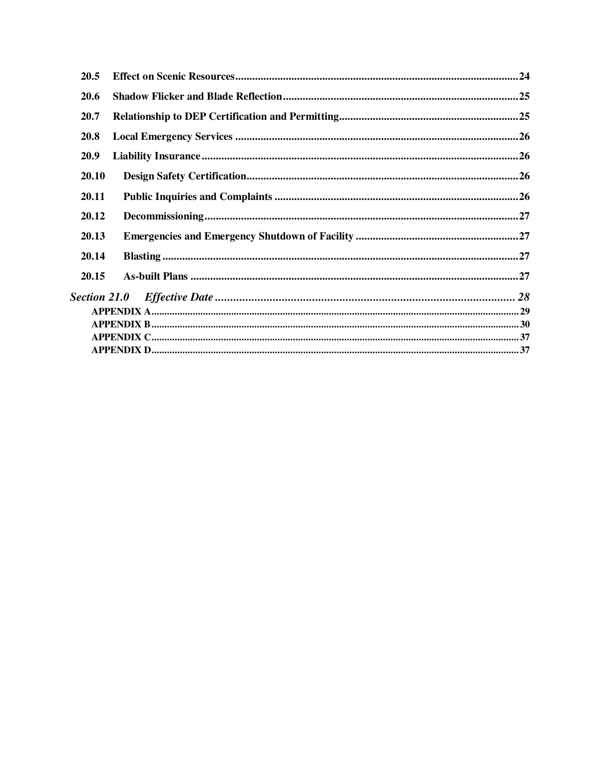| 20.5         |  |  |  |  |
|--------------|--|--|--|--|
| <b>20.6</b>  |  |  |  |  |
| <b>20.7</b>  |  |  |  |  |
| <b>20.8</b>  |  |  |  |  |
| <b>20.9</b>  |  |  |  |  |
| <b>20.10</b> |  |  |  |  |
| 20.11        |  |  |  |  |
| 20.12        |  |  |  |  |
| 20.13        |  |  |  |  |
| 20.14        |  |  |  |  |
| 20.15        |  |  |  |  |
|              |  |  |  |  |
|              |  |  |  |  |
|              |  |  |  |  |
|              |  |  |  |  |
|              |  |  |  |  |
|              |  |  |  |  |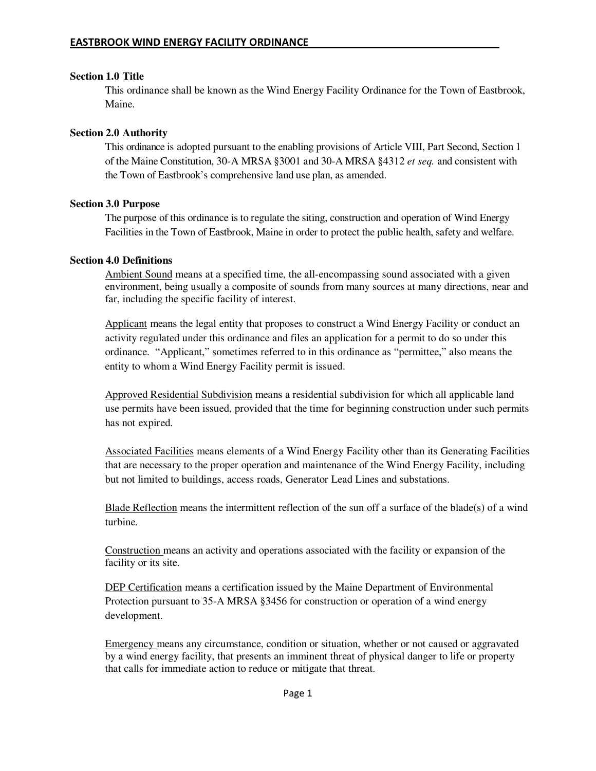#### **Section 1.0 Title**

This ordinance shall be known as the Wind Energy Facility Ordinance for the Town of Eastbrook, Maine.

## **Section 2.0 Authority**

This ordinance is adopted pursuant to the enabling provisions of Article VIII, Part Second, Section 1 of the Maine Constitution, 30-A MRSA §3001 and 30-A MRSA §4312 *et seq.* and consistent with the Town of Eastbrook's comprehensive land use plan, as amended.

## **Section 3.0 Purpose**

The purpose of this ordinance is to regulate the siting, construction and operation of Wind Energy Facilities in the Town of Eastbrook, Maine in order to protect the public health, safety and welfare.

#### **Section 4.0 Definitions**

Ambient Sound means at a specified time, the all-encompassing sound associated with a given environment, being usually a composite of sounds from many sources at many directions, near and far, including the specific facility of interest.

Applicant means the legal entity that proposes to construct a Wind Energy Facility or conduct an activity regulated under this ordinance and files an application for a permit to do so under this ordinance. "Applicant," sometimes referred to in this ordinance as "permittee," also means the entity to whom a Wind Energy Facility permit is issued.

Approved Residential Subdivision means a residential subdivision for which all applicable land use permits have been issued, provided that the time for beginning construction under such permits has not expired.

Associated Facilities means elements of a Wind Energy Facility other than its Generating Facilities that are necessary to the proper operation and maintenance of the Wind Energy Facility, including but not limited to buildings, access roads, Generator Lead Lines and substations.

Blade Reflection means the intermittent reflection of the sun off a surface of the blade(s) of a wind turbine.

Construction means an activity and operations associated with the facility or expansion of the facility or its site.

DEP Certification means a certification issued by the Maine Department of Environmental Protection pursuant to 35-A MRSA §3456 for construction or operation of a wind energy development.

Emergency means any circumstance, condition or situation, whether or not caused or aggravated by a wind energy facility, that presents an imminent threat of physical danger to life or property that calls for immediate action to reduce or mitigate that threat.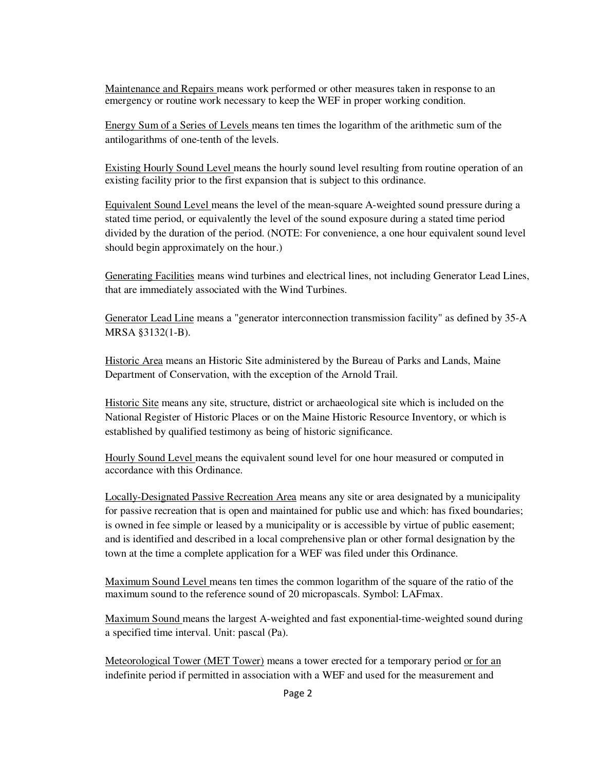Maintenance and Repairs means work performed or other measures taken in response to an emergency or routine work necessary to keep the WEF in proper working condition.

Energy Sum of a Series of Levels means ten times the logarithm of the arithmetic sum of the antilogarithms of one-tenth of the levels.

Existing Hourly Sound Level means the hourly sound level resulting from routine operation of an existing facility prior to the first expansion that is subject to this ordinance.

Equivalent Sound Level means the level of the mean-square A-weighted sound pressure during a stated time period, or equivalently the level of the sound exposure during a stated time period divided by the duration of the period. (NOTE: For convenience, a one hour equivalent sound level should begin approximately on the hour.)

Generating Facilities means wind turbines and electrical lines, not including Generator Lead Lines, that are immediately associated with the Wind Turbines.

Generator Lead Line means a "generator interconnection transmission facility" as defined by 35-A MRSA §3132(1-B).

Historic Area means an Historic Site administered by the Bureau of Parks and Lands, Maine Department of Conservation, with the exception of the Arnold Trail.

Historic Site means any site, structure, district or archaeological site which is included on the National Register of Historic Places or on the Maine Historic Resource Inventory, or which is established by qualified testimony as being of historic significance.

Hourly Sound Level means the equivalent sound level for one hour measured or computed in accordance with this Ordinance.

Locally-Designated Passive Recreation Area means any site or area designated by a municipality for passive recreation that is open and maintained for public use and which: has fixed boundaries; is owned in fee simple or leased by a municipality or is accessible by virtue of public easement; and is identified and described in a local comprehensive plan or other formal designation by the town at the time a complete application for a WEF was filed under this Ordinance.

Maximum Sound Level means ten times the common logarithm of the square of the ratio of the maximum sound to the reference sound of 20 micropascals. Symbol: LAFmax.

Maximum Sound means the largest A-weighted and fast exponential-time-weighted sound during a specified time interval. Unit: pascal (Pa).

Meteorological Tower (MET Tower) means a tower erected for a temporary period or for an indefinite period if permitted in association with a WEF and used for the measurement and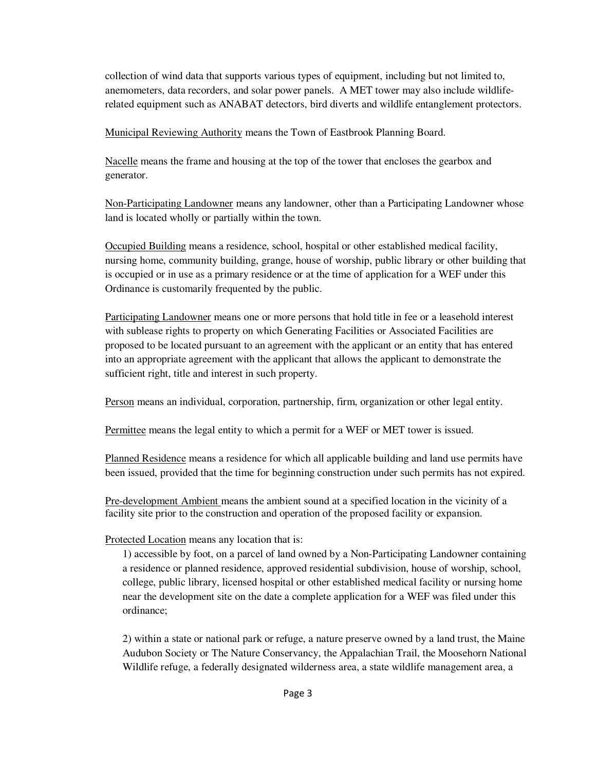collection of wind data that supports various types of equipment, including but not limited to, anemometers, data recorders, and solar power panels. A MET tower may also include wildliferelated equipment such as ANABAT detectors, bird diverts and wildlife entanglement protectors.

Municipal Reviewing Authority means the Town of Eastbrook Planning Board.

Nacelle means the frame and housing at the top of the tower that encloses the gearbox and generator.

Non-Participating Landowner means any landowner, other than a Participating Landowner whose land is located wholly or partially within the town.

Occupied Building means a residence, school, hospital or other established medical facility, nursing home, community building, grange, house of worship, public library or other building that is occupied or in use as a primary residence or at the time of application for a WEF under this Ordinance is customarily frequented by the public.

Participating Landowner means one or more persons that hold title in fee or a leasehold interest with sublease rights to property on which Generating Facilities or Associated Facilities are proposed to be located pursuant to an agreement with the applicant or an entity that has entered into an appropriate agreement with the applicant that allows the applicant to demonstrate the sufficient right, title and interest in such property.

Person means an individual, corporation, partnership, firm, organization or other legal entity.

Permittee means the legal entity to which a permit for a WEF or MET tower is issued.

Planned Residence means a residence for which all applicable building and land use permits have been issued, provided that the time for beginning construction under such permits has not expired.

Pre-development Ambient means the ambient sound at a specified location in the vicinity of a facility site prior to the construction and operation of the proposed facility or expansion.

Protected Location means any location that is:

1) accessible by foot, on a parcel of land owned by a Non-Participating Landowner containing a residence or planned residence, approved residential subdivision, house of worship, school, college, public library, licensed hospital or other established medical facility or nursing home near the development site on the date a complete application for a WEF was filed under this ordinance;

2) within a state or national park or refuge, a nature preserve owned by a land trust, the Maine Audubon Society or The Nature Conservancy, the Appalachian Trail, the Moosehorn National Wildlife refuge, a federally designated wilderness area, a state wildlife management area, a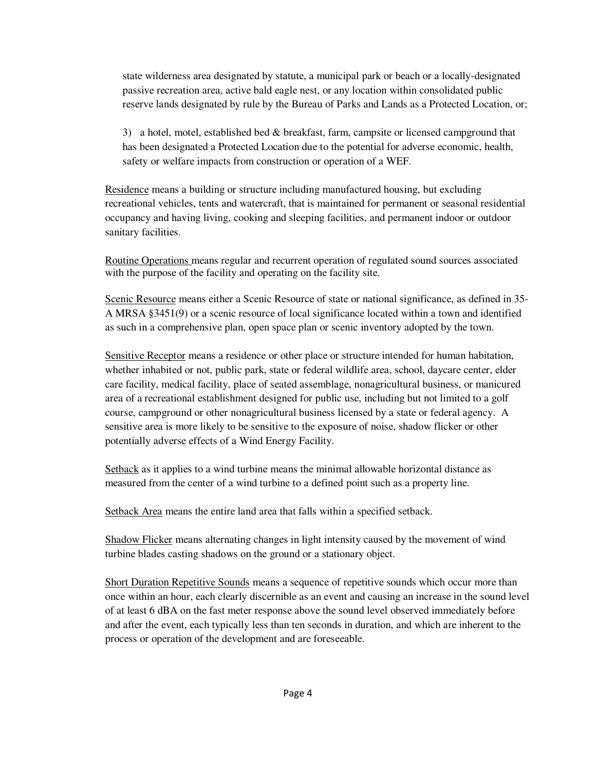state wilderness area designated by statute, a municipal park or beach or a locally-designated passive recreation area, active bald eagle nest, or any location within consolidated public reserve lands designated by rule by the Bureau of Parks and Lands as a Protected Location, or;

3) a hotel, motel, established bed & breakfast, farm, campsite or licensed campground that has been designated a Protected Location due to the potential for adverse economic, health, safety or welfare impacts from construction or operation of a WEF.

Residence means a building or structure including manufactured housing, but excluding recreational vehicles, tents and watercraft, that is maintained for permanent or seasonal residential occupancy and having living, cooking and sleeping facilities, and permanent indoor or outdoor sanitary facilities.

Routine Operations means regular and recurrent operation of regulated sound sources associated with the purpose of the facility and operating on the facility site.

Scenic Resource means either a Scenic Resource of state or national significance, as defined in 35- A MRSA §3451(9) or a scenic resource of local significance located within a town and identified as such in a comprehensive plan, open space plan or scenic inventory adopted by the town.

Sensitive Receptor means a residence or other place or structure intended for human habitation, whether inhabited or not, public park, state or federal wildlife area, school, daycare center, elder care facility, medical facility, place of seated assemblage, nonagricultural business, or manicured area of a recreational establishment designed for public use, including but not limited to a golf course, campground or other nonagricultural business licensed by a state or federal agency. A sensitive area is more likely to be sensitive to the exposure of noise, shadow flicker or other potentially adverse effects of a Wind Energy Facility.

Setback as it applies to a wind turbine means the minimal allowable horizontal distance as measured from the center of a wind turbine to a defined point such as a property line.

Setback Area means the entire land area that falls within a specified setback.

Shadow Flicker means alternating changes in light intensity caused by the movement of wind turbine blades casting shadows on the ground or a stationary object.

Short Duration Repetitive Sounds means a sequence of repetitive sounds which occur more than once within an hour, each clearly discernible as an event and causing an increase in the sound level of at least 6 dBA on the fast meter response above the sound level observed immediately before and after the event, each typically less than ten seconds in duration, and which are inherent to the process or operation of the development and are foreseeable.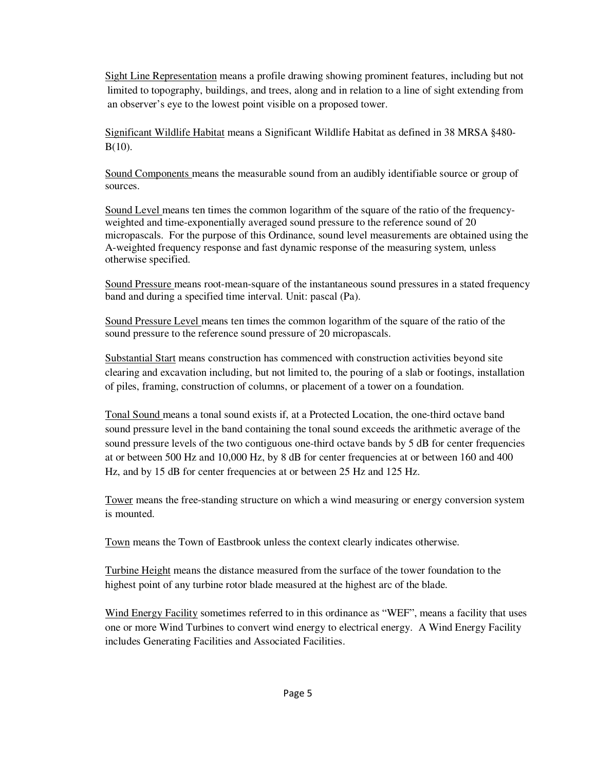Sight Line Representation means a profile drawing showing prominent features, including but not limited to topography, buildings, and trees, along and in relation to a line of sight extending from an observer's eye to the lowest point visible on a proposed tower.

Significant Wildlife Habitat means a Significant Wildlife Habitat as defined in 38 MRSA §480- B(10).

Sound Components means the measurable sound from an audibly identifiable source or group of sources.

Sound Level means ten times the common logarithm of the square of the ratio of the frequencyweighted and time-exponentially averaged sound pressure to the reference sound of 20 micropascals. For the purpose of this Ordinance, sound level measurements are obtained using the A-weighted frequency response and fast dynamic response of the measuring system, unless otherwise specified.

Sound Pressure means root-mean-square of the instantaneous sound pressures in a stated frequency band and during a specified time interval. Unit: pascal (Pa).

Sound Pressure Level means ten times the common logarithm of the square of the ratio of the sound pressure to the reference sound pressure of 20 micropascals.

Substantial Start means construction has commenced with construction activities beyond site clearing and excavation including, but not limited to, the pouring of a slab or footings, installation of piles, framing, construction of columns, or placement of a tower on a foundation.

Tonal Sound means a tonal sound exists if, at a Protected Location, the one-third octave band sound pressure level in the band containing the tonal sound exceeds the arithmetic average of the sound pressure levels of the two contiguous one-third octave bands by 5 dB for center frequencies at or between 500 Hz and 10,000 Hz, by 8 dB for center frequencies at or between 160 and 400 Hz, and by 15 dB for center frequencies at or between 25 Hz and 125 Hz.

Tower means the free-standing structure on which a wind measuring or energy conversion system is mounted.

Town means the Town of Eastbrook unless the context clearly indicates otherwise.

Turbine Height means the distance measured from the surface of the tower foundation to the highest point of any turbine rotor blade measured at the highest arc of the blade.

Wind Energy Facility sometimes referred to in this ordinance as "WEF", means a facility that uses one or more Wind Turbines to convert wind energy to electrical energy. A Wind Energy Facility includes Generating Facilities and Associated Facilities.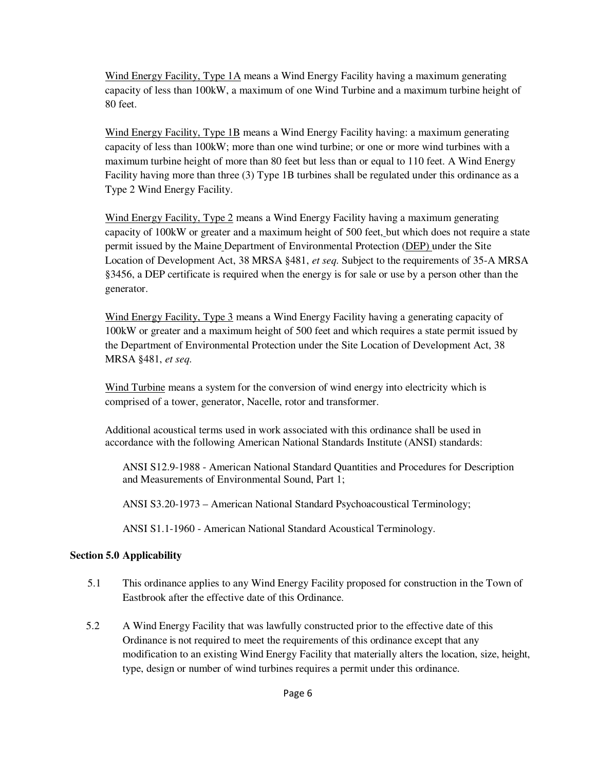Wind Energy Facility, Type 1A means a Wind Energy Facility having a maximum generating capacity of less than 100kW, a maximum of one Wind Turbine and a maximum turbine height of 80 feet.

Wind Energy Facility, Type 1B means a Wind Energy Facility having: a maximum generating capacity of less than 100kW; more than one wind turbine; or one or more wind turbines with a maximum turbine height of more than 80 feet but less than or equal to 110 feet. A Wind Energy Facility having more than three (3) Type 1B turbines shall be regulated under this ordinance as a Type 2 Wind Energy Facility.

Wind Energy Facility, Type 2 means a Wind Energy Facility having a maximum generating capacity of 100kW or greater and a maximum height of 500 feet, but which does not require a state permit issued by the Maine Department of Environmental Protection (DEP) under the Site Location of Development Act, 38 MRSA §481, *et seq.* Subject to the requirements of 35-A MRSA §3456, a DEP certificate is required when the energy is for sale or use by a person other than the generator.

Wind Energy Facility, Type 3 means a Wind Energy Facility having a generating capacity of 100kW or greater and a maximum height of 500 feet and which requires a state permit issued by the Department of Environmental Protection under the Site Location of Development Act, 38 MRSA §481, *et seq.* 

Wind Turbine means a system for the conversion of wind energy into electricity which is comprised of a tower, generator, Nacelle, rotor and transformer.

Additional acoustical terms used in work associated with this ordinance shall be used in accordance with the following American National Standards Institute (ANSI) standards:

 ANSI S12.9-1988 - American National Standard Quantities and Procedures for Description and Measurements of Environmental Sound, Part 1;

ANSI S3.20-1973 – American National Standard Psychoacoustical Terminology;

ANSI S1.1-1960 - American National Standard Acoustical Terminology.

## **Section 5.0 Applicability**

- 5.1 This ordinance applies to any Wind Energy Facility proposed for construction in the Town of Eastbrook after the effective date of this Ordinance.
- 5.2 A Wind Energy Facility that was lawfully constructed prior to the effective date of this Ordinance is not required to meet the requirements of this ordinance except that any modification to an existing Wind Energy Facility that materially alters the location, size, height, type, design or number of wind turbines requires a permit under this ordinance.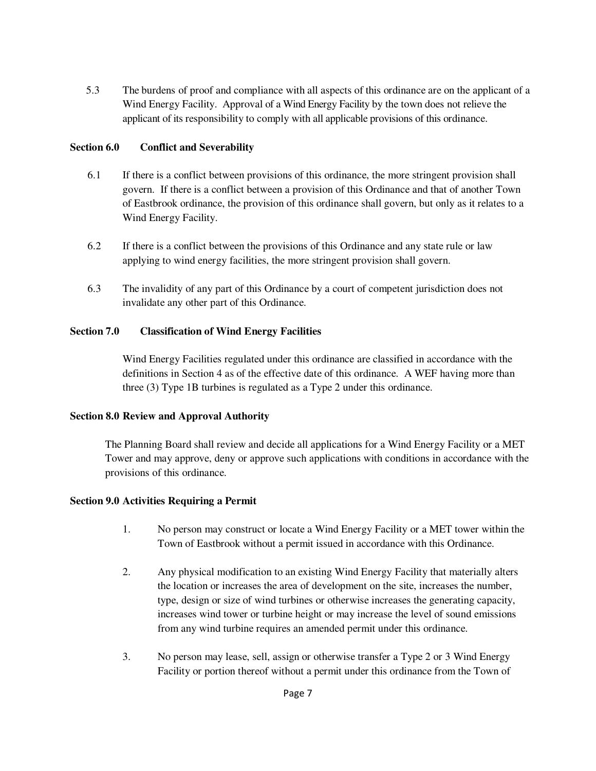5.3 The burdens of proof and compliance with all aspects of this ordinance are on the applicant of a Wind Energy Facility. Approval of a Wind Energy Facility by the town does not relieve the applicant of its responsibility to comply with all applicable provisions of this ordinance.

## **Section 6.0 Conflict and Severability**

- 6.1 If there is a conflict between provisions of this ordinance, the more stringent provision shall govern. If there is a conflict between a provision of this Ordinance and that of another Town of Eastbrook ordinance, the provision of this ordinance shall govern, but only as it relates to a Wind Energy Facility.
- 6.2 If there is a conflict between the provisions of this Ordinance and any state rule or law applying to wind energy facilities, the more stringent provision shall govern.
- 6.3 The invalidity of any part of this Ordinance by a court of competent jurisdiction does not invalidate any other part of this Ordinance.

## **Section 7.0 Classification of Wind Energy Facilities**

Wind Energy Facilities regulated under this ordinance are classified in accordance with the definitions in Section 4 as of the effective date of this ordinance. A WEF having more than three (3) Type 1B turbines is regulated as a Type 2 under this ordinance.

## **Section 8.0 Review and Approval Authority**

The Planning Board shall review and decide all applications for a Wind Energy Facility or a MET Tower and may approve, deny or approve such applications with conditions in accordance with the provisions of this ordinance.

## **Section 9.0 Activities Requiring a Permit**

- 1. No person may construct or locate a Wind Energy Facility or a MET tower within the Town of Eastbrook without a permit issued in accordance with this Ordinance.
- 2. Any physical modification to an existing Wind Energy Facility that materially alters the location or increases the area of development on the site, increases the number, type, design or size of wind turbines or otherwise increases the generating capacity, increases wind tower or turbine height or may increase the level of sound emissions from any wind turbine requires an amended permit under this ordinance.
- 3. No person may lease, sell, assign or otherwise transfer a Type 2 or 3 Wind Energy Facility or portion thereof without a permit under this ordinance from the Town of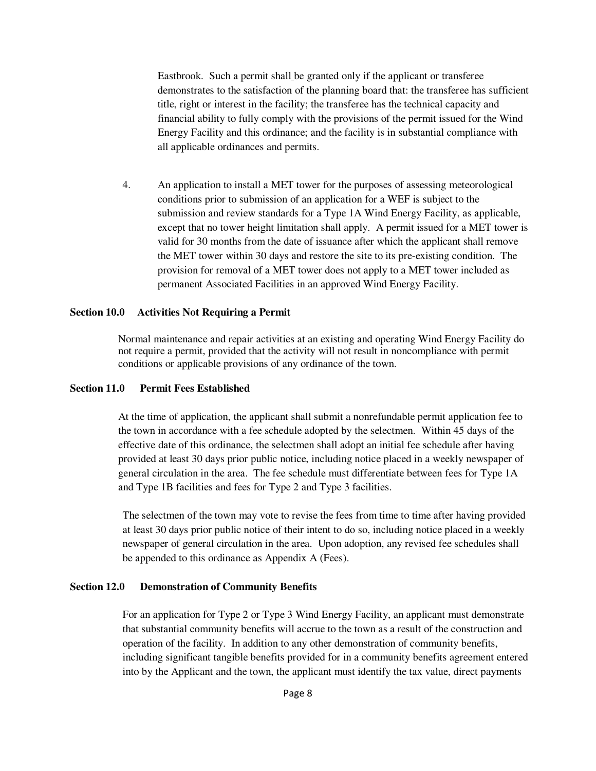Eastbrook. Such a permit shall be granted only if the applicant or transferee demonstrates to the satisfaction of the planning board that: the transferee has sufficient title, right or interest in the facility; the transferee has the technical capacity and financial ability to fully comply with the provisions of the permit issued for the Wind Energy Facility and this ordinance; and the facility is in substantial compliance with all applicable ordinances and permits.

4. An application to install a MET tower for the purposes of assessing meteorological conditions prior to submission of an application for a WEF is subject to the submission and review standards for a Type 1A Wind Energy Facility, as applicable, except that no tower height limitation shall apply. A permit issued for a MET tower is valid for 30 months from the date of issuance after which the applicant shall remove the MET tower within 30 days and restore the site to its pre-existing condition. The provision for removal of a MET tower does not apply to a MET tower included as permanent Associated Facilities in an approved Wind Energy Facility.

#### **Section 10.0 Activities Not Requiring a Permit**

Normal maintenance and repair activities at an existing and operating Wind Energy Facility do not require a permit, provided that the activity will not result in noncompliance with permit conditions or applicable provisions of any ordinance of the town.

#### **Section 11.0 Permit Fees Established**

At the time of application, the applicant shall submit a nonrefundable permit application fee to the town in accordance with a fee schedule adopted by the selectmen. Within 45 days of the effective date of this ordinance, the selectmen shall adopt an initial fee schedule after having provided at least 30 days prior public notice, including notice placed in a weekly newspaper of general circulation in the area. The fee schedule must differentiate between fees for Type 1A and Type 1B facilities and fees for Type 2 and Type 3 facilities.

The selectmen of the town may vote to revise the fees from time to time after having provided at least 30 days prior public notice of their intent to do so, including notice placed in a weekly newspaper of general circulation in the area. Upon adoption, any revised fee schedules shall be appended to this ordinance as Appendix A (Fees).

#### **Section 12.0 Demonstration of Community Benefits**

For an application for Type 2 or Type 3 Wind Energy Facility, an applicant must demonstrate that substantial community benefits will accrue to the town as a result of the construction and operation of the facility. In addition to any other demonstration of community benefits, including significant tangible benefits provided for in a community benefits agreement entered into by the Applicant and the town, the applicant must identify the tax value, direct payments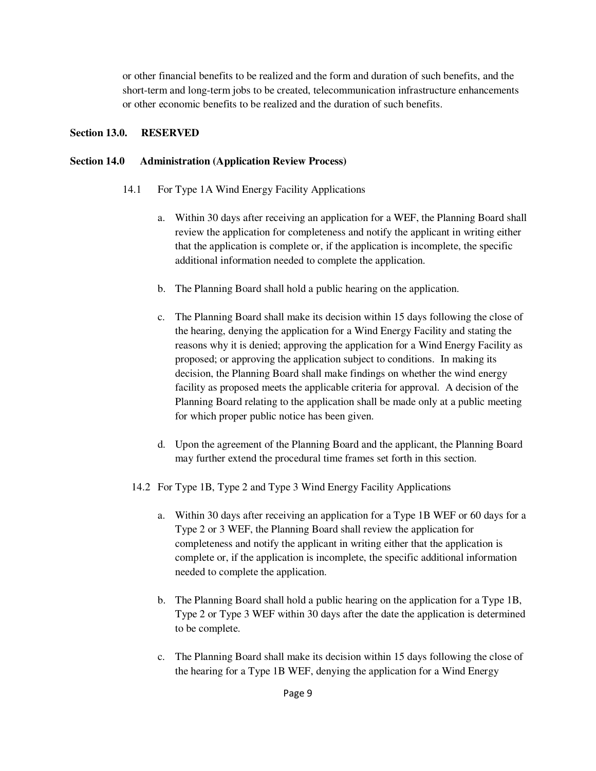or other financial benefits to be realized and the form and duration of such benefits, and the short-term and long-term jobs to be created, telecommunication infrastructure enhancements or other economic benefits to be realized and the duration of such benefits.

#### **Section 13.0. RESERVED**

#### **Section 14.0 Administration (Application Review Process)**

- 14.1 For Type 1A Wind Energy Facility Applications
	- a. Within 30 days after receiving an application for a WEF, the Planning Board shall review the application for completeness and notify the applicant in writing either that the application is complete or, if the application is incomplete, the specific additional information needed to complete the application.
	- b. The Planning Board shall hold a public hearing on the application.
	- c. The Planning Board shall make its decision within 15 days following the close of the hearing, denying the application for a Wind Energy Facility and stating the reasons why it is denied; approving the application for a Wind Energy Facility as proposed; or approving the application subject to conditions. In making its decision, the Planning Board shall make findings on whether the wind energy facility as proposed meets the applicable criteria for approval. A decision of the Planning Board relating to the application shall be made only at a public meeting for which proper public notice has been given.
	- d. Upon the agreement of the Planning Board and the applicant, the Planning Board may further extend the procedural time frames set forth in this section.
	- 14.2 For Type 1B, Type 2 and Type 3 Wind Energy Facility Applications
		- a. Within 30 days after receiving an application for a Type 1B WEF or 60 days for a Type 2 or 3 WEF, the Planning Board shall review the application for completeness and notify the applicant in writing either that the application is complete or, if the application is incomplete, the specific additional information needed to complete the application.
		- b. The Planning Board shall hold a public hearing on the application for a Type 1B, Type 2 or Type 3 WEF within 30 days after the date the application is determined to be complete.
		- c. The Planning Board shall make its decision within 15 days following the close of the hearing for a Type 1B WEF, denying the application for a Wind Energy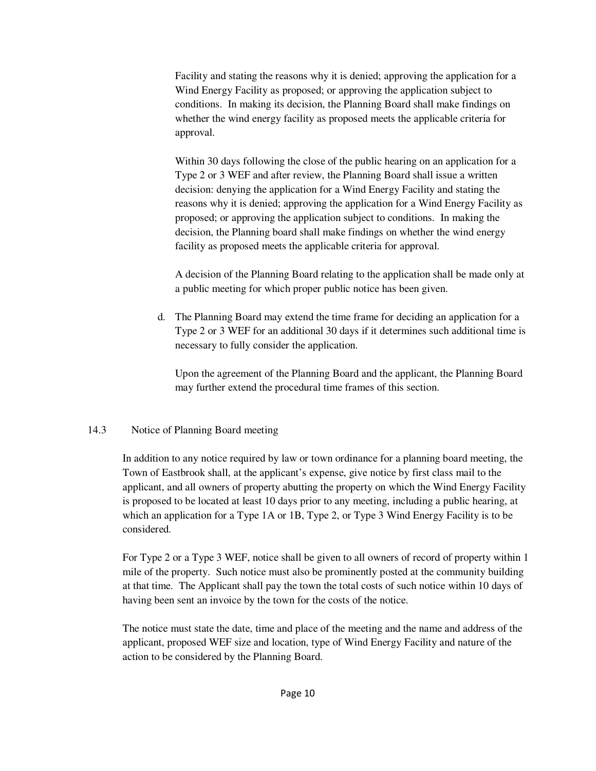Facility and stating the reasons why it is denied; approving the application for a Wind Energy Facility as proposed; or approving the application subject to conditions. In making its decision, the Planning Board shall make findings on whether the wind energy facility as proposed meets the applicable criteria for approval.

Within 30 days following the close of the public hearing on an application for a Type 2 or 3 WEF and after review, the Planning Board shall issue a written decision: denying the application for a Wind Energy Facility and stating the reasons why it is denied; approving the application for a Wind Energy Facility as proposed; or approving the application subject to conditions. In making the decision, the Planning board shall make findings on whether the wind energy facility as proposed meets the applicable criteria for approval.

A decision of the Planning Board relating to the application shall be made only at a public meeting for which proper public notice has been given.

d. The Planning Board may extend the time frame for deciding an application for a Type 2 or 3 WEF for an additional 30 days if it determines such additional time is necessary to fully consider the application.

Upon the agreement of the Planning Board and the applicant, the Planning Board may further extend the procedural time frames of this section.

## 14.3 Notice of Planning Board meeting

In addition to any notice required by law or town ordinance for a planning board meeting, the Town of Eastbrook shall, at the applicant's expense, give notice by first class mail to the applicant, and all owners of property abutting the property on which the Wind Energy Facility is proposed to be located at least 10 days prior to any meeting, including a public hearing, at which an application for a Type 1A or 1B, Type 2, or Type 3 Wind Energy Facility is to be considered.

For Type 2 or a Type 3 WEF, notice shall be given to all owners of record of property within 1 mile of the property. Such notice must also be prominently posted at the community building at that time. The Applicant shall pay the town the total costs of such notice within 10 days of having been sent an invoice by the town for the costs of the notice.

The notice must state the date, time and place of the meeting and the name and address of the applicant, proposed WEF size and location, type of Wind Energy Facility and nature of the action to be considered by the Planning Board.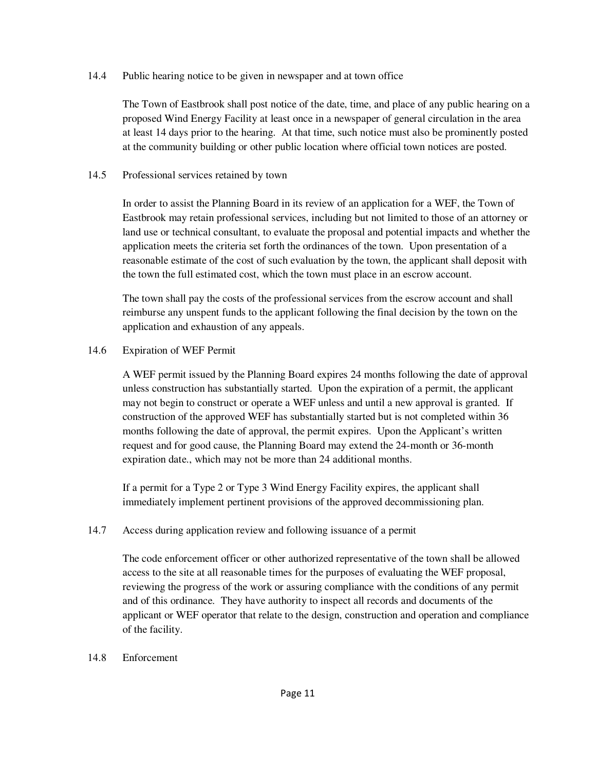#### 14.4 Public hearing notice to be given in newspaper and at town office

The Town of Eastbrook shall post notice of the date, time, and place of any public hearing on a proposed Wind Energy Facility at least once in a newspaper of general circulation in the area at least 14 days prior to the hearing. At that time, such notice must also be prominently posted at the community building or other public location where official town notices are posted.

#### 14.5 Professional services retained by town

In order to assist the Planning Board in its review of an application for a WEF, the Town of Eastbrook may retain professional services, including but not limited to those of an attorney or land use or technical consultant, to evaluate the proposal and potential impacts and whether the application meets the criteria set forth the ordinances of the town. Upon presentation of a reasonable estimate of the cost of such evaluation by the town, the applicant shall deposit with the town the full estimated cost, which the town must place in an escrow account.

The town shall pay the costs of the professional services from the escrow account and shall reimburse any unspent funds to the applicant following the final decision by the town on the application and exhaustion of any appeals.

#### 14.6 Expiration of WEF Permit

A WEF permit issued by the Planning Board expires 24 months following the date of approval unless construction has substantially started. Upon the expiration of a permit, the applicant may not begin to construct or operate a WEF unless and until a new approval is granted. If construction of the approved WEF has substantially started but is not completed within 36 months following the date of approval, the permit expires. Upon the Applicant's written request and for good cause, the Planning Board may extend the 24-month or 36-month expiration date., which may not be more than 24 additional months.

If a permit for a Type 2 or Type 3 Wind Energy Facility expires, the applicant shall immediately implement pertinent provisions of the approved decommissioning plan.

## 14.7 Access during application review and following issuance of a permit

The code enforcement officer or other authorized representative of the town shall be allowed access to the site at all reasonable times for the purposes of evaluating the WEF proposal, reviewing the progress of the work or assuring compliance with the conditions of any permit and of this ordinance. They have authority to inspect all records and documents of the applicant or WEF operator that relate to the design, construction and operation and compliance of the facility.

#### 14.8 Enforcement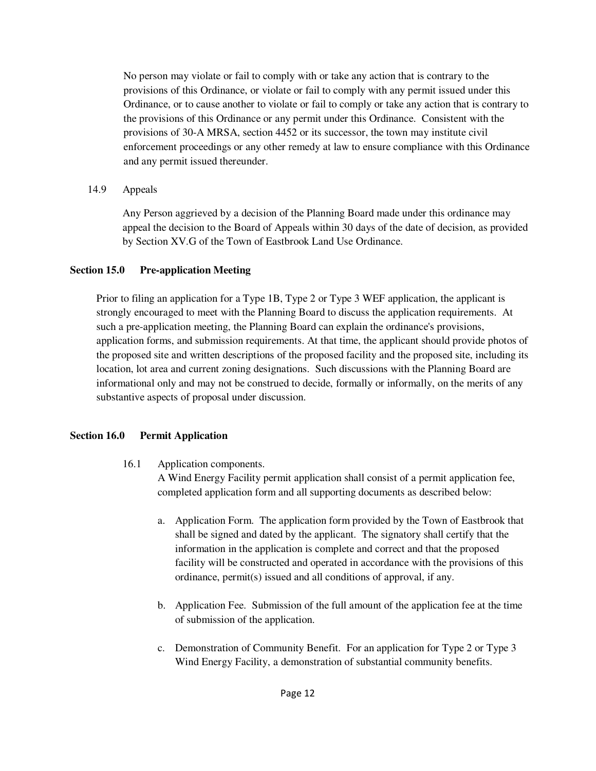No person may violate or fail to comply with or take any action that is contrary to the provisions of this Ordinance, or violate or fail to comply with any permit issued under this Ordinance, or to cause another to violate or fail to comply or take any action that is contrary to the provisions of this Ordinance or any permit under this Ordinance. Consistent with the provisions of 30-A MRSA, section 4452 or its successor, the town may institute civil enforcement proceedings or any other remedy at law to ensure compliance with this Ordinance and any permit issued thereunder.

## 14.9 Appeals

Any Person aggrieved by a decision of the Planning Board made under this ordinance may appeal the decision to the Board of Appeals within 30 days of the date of decision, as provided by Section XV.G of the Town of Eastbrook Land Use Ordinance.

## **Section 15.0 Pre-application Meeting**

Prior to filing an application for a Type 1B, Type 2 or Type 3 WEF application, the applicant is strongly encouraged to meet with the Planning Board to discuss the application requirements. At such a pre-application meeting, the Planning Board can explain the ordinance's provisions, application forms, and submission requirements. At that time, the applicant should provide photos of the proposed site and written descriptions of the proposed facility and the proposed site, including its location, lot area and current zoning designations. Such discussions with the Planning Board are informational only and may not be construed to decide, formally or informally, on the merits of any substantive aspects of proposal under discussion.

# **Section 16.0 Permit Application**

16.1 Application components.

A Wind Energy Facility permit application shall consist of a permit application fee, completed application form and all supporting documents as described below:

- a. Application Form. The application form provided by the Town of Eastbrook that shall be signed and dated by the applicant. The signatory shall certify that the information in the application is complete and correct and that the proposed facility will be constructed and operated in accordance with the provisions of this ordinance, permit(s) issued and all conditions of approval, if any.
- b. Application Fee. Submission of the full amount of the application fee at the time of submission of the application.
- c. Demonstration of Community Benefit. For an application for Type 2 or Type 3 Wind Energy Facility, a demonstration of substantial community benefits.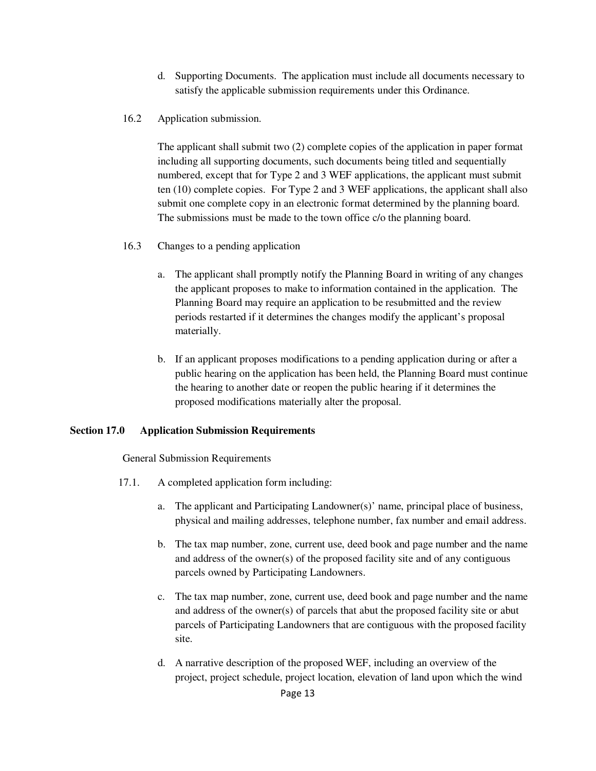- d. Supporting Documents. The application must include all documents necessary to satisfy the applicable submission requirements under this Ordinance.
- 16.2 Application submission.

 The applicant shall submit two (2) complete copies of the application in paper format including all supporting documents, such documents being titled and sequentially numbered, except that for Type 2 and 3 WEF applications, the applicant must submit ten (10) complete copies. For Type 2 and 3 WEF applications, the applicant shall also submit one complete copy in an electronic format determined by the planning board. The submissions must be made to the town office c/o the planning board.

- 16.3 Changes to a pending application
	- a. The applicant shall promptly notify the Planning Board in writing of any changes the applicant proposes to make to information contained in the application. The Planning Board may require an application to be resubmitted and the review periods restarted if it determines the changes modify the applicant's proposal materially.
	- b. If an applicant proposes modifications to a pending application during or after a public hearing on the application has been held, the Planning Board must continue the hearing to another date or reopen the public hearing if it determines the proposed modifications materially alter the proposal.

#### **Section 17.0 Application Submission Requirements**

General Submission Requirements

- 17.1. A completed application form including:
	- a. The applicant and Participating Landowner(s)' name, principal place of business, physical and mailing addresses, telephone number, fax number and email address.
	- b. The tax map number, zone, current use, deed book and page number and the name and address of the owner(s) of the proposed facility site and of any contiguous parcels owned by Participating Landowners.
	- c. The tax map number, zone, current use, deed book and page number and the name and address of the owner(s) of parcels that abut the proposed facility site or abut parcels of Participating Landowners that are contiguous with the proposed facility site.
	- d. A narrative description of the proposed WEF, including an overview of the project, project schedule, project location, elevation of land upon which the wind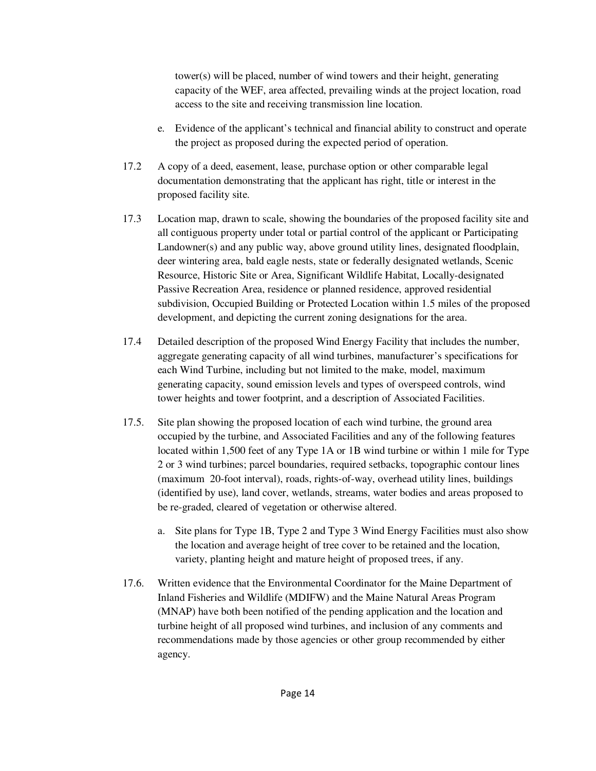tower(s) will be placed, number of wind towers and their height, generating capacity of the WEF, area affected, prevailing winds at the project location, road access to the site and receiving transmission line location.

- e. Evidence of the applicant's technical and financial ability to construct and operate the project as proposed during the expected period of operation.
- 17.2 A copy of a deed, easement, lease, purchase option or other comparable legal documentation demonstrating that the applicant has right, title or interest in the proposed facility site.
- 17.3 Location map, drawn to scale, showing the boundaries of the proposed facility site and all contiguous property under total or partial control of the applicant or Participating Landowner(s) and any public way, above ground utility lines, designated floodplain, deer wintering area, bald eagle nests, state or federally designated wetlands, Scenic Resource, Historic Site or Area, Significant Wildlife Habitat, Locally-designated Passive Recreation Area, residence or planned residence, approved residential subdivision, Occupied Building or Protected Location within 1.5 miles of the proposed development, and depicting the current zoning designations for the area.
- 17.4 Detailed description of the proposed Wind Energy Facility that includes the number, aggregate generating capacity of all wind turbines, manufacturer's specifications for each Wind Turbine, including but not limited to the make, model, maximum generating capacity, sound emission levels and types of overspeed controls, wind tower heights and tower footprint, and a description of Associated Facilities.
- 17.5. Site plan showing the proposed location of each wind turbine, the ground area occupied by the turbine, and Associated Facilities and any of the following features located within 1,500 feet of any Type 1A or 1B wind turbine or within 1 mile for Type 2 or 3 wind turbines; parcel boundaries, required setbacks, topographic contour lines (maximum 20-foot interval), roads, rights-of-way, overhead utility lines, buildings (identified by use), land cover, wetlands, streams, water bodies and areas proposed to be re-graded, cleared of vegetation or otherwise altered.
	- a. Site plans for Type 1B, Type 2 and Type 3 Wind Energy Facilities must also show the location and average height of tree cover to be retained and the location, variety, planting height and mature height of proposed trees, if any.
- 17.6. Written evidence that the Environmental Coordinator for the Maine Department of Inland Fisheries and Wildlife (MDIFW) and the Maine Natural Areas Program (MNAP) have both been notified of the pending application and the location and turbine height of all proposed wind turbines, and inclusion of any comments and recommendations made by those agencies or other group recommended by either agency.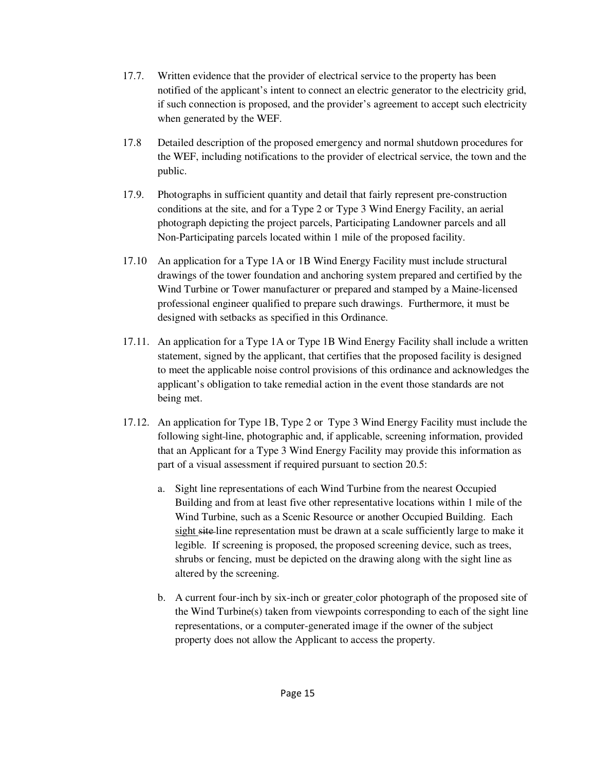- 17.7. Written evidence that the provider of electrical service to the property has been notified of the applicant's intent to connect an electric generator to the electricity grid, if such connection is proposed, and the provider's agreement to accept such electricity when generated by the WEF.
- 17.8 Detailed description of the proposed emergency and normal shutdown procedures for the WEF, including notifications to the provider of electrical service, the town and the public.
- 17.9. Photographs in sufficient quantity and detail that fairly represent pre-construction conditions at the site, and for a Type 2 or Type 3 Wind Energy Facility, an aerial photograph depicting the project parcels, Participating Landowner parcels and all Non-Participating parcels located within 1 mile of the proposed facility.
- 17.10 An application for a Type 1A or 1B Wind Energy Facility must include structural drawings of the tower foundation and anchoring system prepared and certified by the Wind Turbine or Tower manufacturer or prepared and stamped by a Maine-licensed professional engineer qualified to prepare such drawings. Furthermore, it must be designed with setbacks as specified in this Ordinance.
- 17.11. An application for a Type 1A or Type 1B Wind Energy Facility shall include a written statement, signed by the applicant, that certifies that the proposed facility is designed to meet the applicable noise control provisions of this ordinance and acknowledges the applicant's obligation to take remedial action in the event those standards are not being met.
- 17.12. An application for Type 1B, Type 2 or Type 3 Wind Energy Facility must include the following sight line, photographic and, if applicable, screening information, provided that an Applicant for a Type 3 Wind Energy Facility may provide this information as part of a visual assessment if required pursuant to section 20.5:
	- a. Sight line representations of each Wind Turbine from the nearest Occupied Building and from at least five other representative locations within 1 mile of the Wind Turbine, such as a Scenic Resource or another Occupied Building. Each sight site line representation must be drawn at a scale sufficiently large to make it legible. If screening is proposed, the proposed screening device, such as trees, shrubs or fencing, must be depicted on the drawing along with the sight line as altered by the screening.
	- b. A current four-inch by six-inch or greater color photograph of the proposed site of the Wind Turbine(s) taken from viewpoints corresponding to each of the sight line representations, or a computer-generated image if the owner of the subject property does not allow the Applicant to access the property.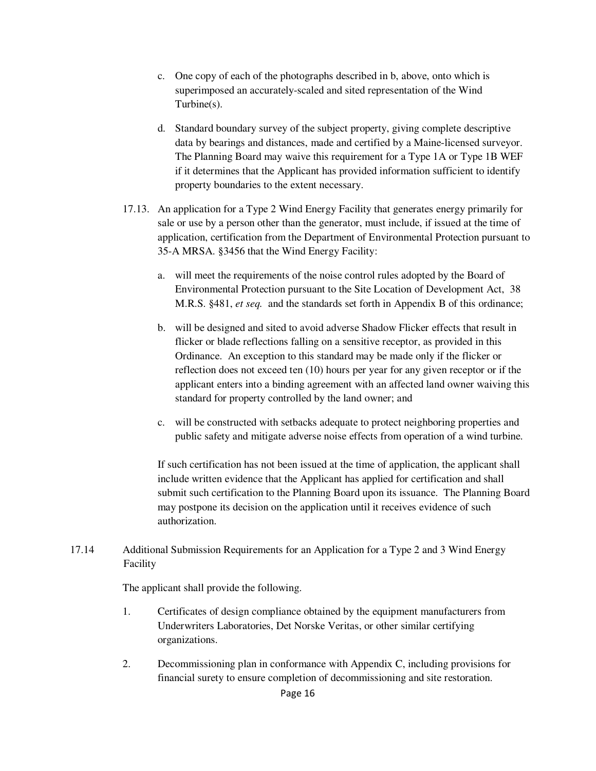- c. One copy of each of the photographs described in b, above, onto which is superimposed an accurately-scaled and sited representation of the Wind Turbine(s).
- d. Standard boundary survey of the subject property, giving complete descriptive data by bearings and distances, made and certified by a Maine-licensed surveyor. The Planning Board may waive this requirement for a Type 1A or Type 1B WEF if it determines that the Applicant has provided information sufficient to identify property boundaries to the extent necessary.
- 17.13. An application for a Type 2 Wind Energy Facility that generates energy primarily for sale or use by a person other than the generator, must include, if issued at the time of application, certification from the Department of Environmental Protection pursuant to 35-A MRSA. §3456 that the Wind Energy Facility:
	- a. will meet the requirements of the noise control rules adopted by the Board of Environmental Protection pursuant to the Site Location of Development Act, 38 M.R.S. §481, *et seq.* and the standards set forth in Appendix B of this ordinance;
	- b. will be designed and sited to avoid adverse Shadow Flicker effects that result in flicker or blade reflections falling on a sensitive receptor, as provided in this Ordinance. An exception to this standard may be made only if the flicker or reflection does not exceed ten (10) hours per year for any given receptor or if the applicant enters into a binding agreement with an affected land owner waiving this standard for property controlled by the land owner; and
	- c. will be constructed with setbacks adequate to protect neighboring properties and public safety and mitigate adverse noise effects from operation of a wind turbine.

If such certification has not been issued at the time of application, the applicant shall include written evidence that the Applicant has applied for certification and shall submit such certification to the Planning Board upon its issuance. The Planning Board may postpone its decision on the application until it receives evidence of such authorization.

17.14 Additional Submission Requirements for an Application for a Type 2 and 3 Wind Energy Facility

The applicant shall provide the following.

- 1. Certificates of design compliance obtained by the equipment manufacturers from Underwriters Laboratories, Det Norske Veritas, or other similar certifying organizations.
- 2. Decommissioning plan in conformance with Appendix C, including provisions for financial surety to ensure completion of decommissioning and site restoration.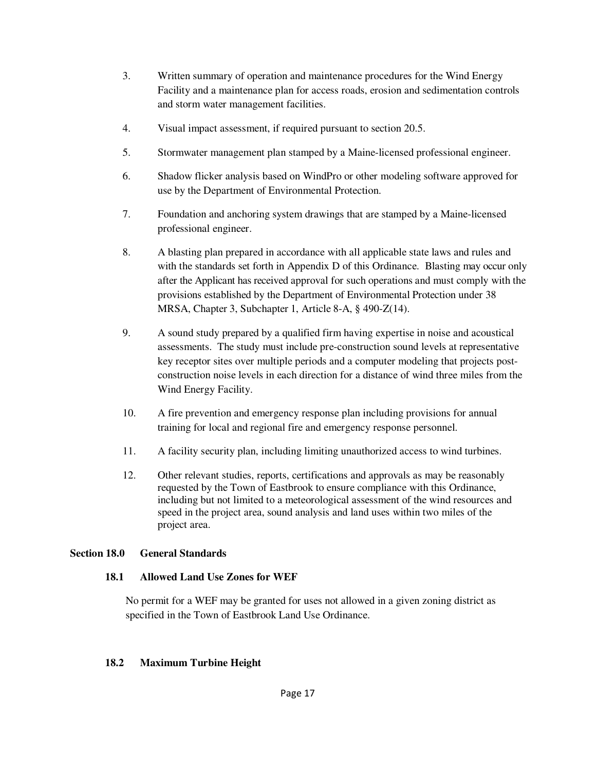- 3. Written summary of operation and maintenance procedures for the Wind Energy Facility and a maintenance plan for access roads, erosion and sedimentation controls and storm water management facilities.
- 4. Visual impact assessment, if required pursuant to section 20.5.
- 5. Stormwater management plan stamped by a Maine-licensed professional engineer.
- 6. Shadow flicker analysis based on WindPro or other modeling software approved for use by the Department of Environmental Protection.
- 7. Foundation and anchoring system drawings that are stamped by a Maine-licensed professional engineer.
- 8. A blasting plan prepared in accordance with all applicable state laws and rules and with the standards set forth in Appendix D of this Ordinance. Blasting may occur only after the Applicant has received approval for such operations and must comply with the provisions established by the Department of Environmental Protection under 38 MRSA, Chapter 3, Subchapter 1, Article 8-A, § 490-Z(14).
- 9. A sound study prepared by a qualified firm having expertise in noise and acoustical assessments. The study must include pre-construction sound levels at representative key receptor sites over multiple periods and a computer modeling that projects postconstruction noise levels in each direction for a distance of wind three miles from the Wind Energy Facility.
- 10. A fire prevention and emergency response plan including provisions for annual training for local and regional fire and emergency response personnel.
- 11. A facility security plan, including limiting unauthorized access to wind turbines.
- 12. Other relevant studies, reports, certifications and approvals as may be reasonably requested by the Town of Eastbrook to ensure compliance with this Ordinance, including but not limited to a meteorological assessment of the wind resources and speed in the project area, sound analysis and land uses within two miles of the project area.

## **Section 18.0 General Standards**

## **18.1 Allowed Land Use Zones for WEF**

No permit for a WEF may be granted for uses not allowed in a given zoning district as specified in the Town of Eastbrook Land Use Ordinance.

#### **18.2 Maximum Turbine Height**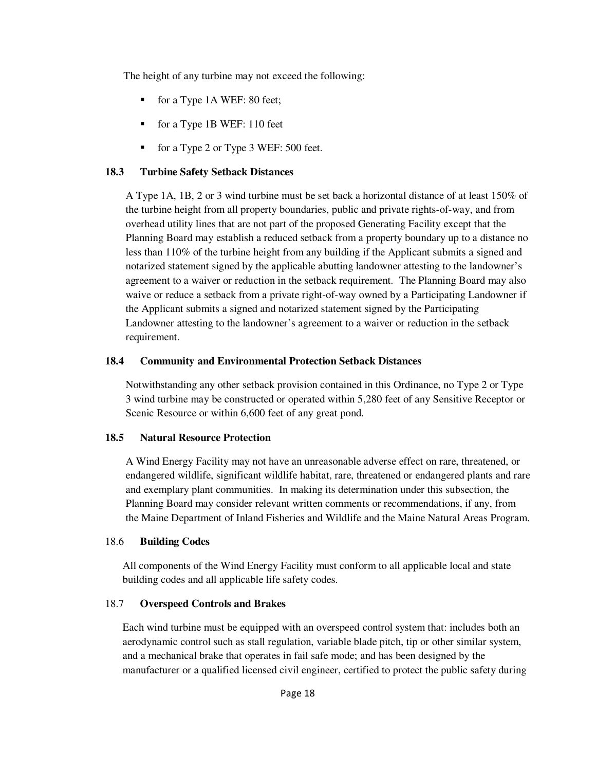The height of any turbine may not exceed the following:

- for a Type 1A WEF: 80 feet;
- for a Type 1B WEF: 110 feet
- for a Type 2 or Type 3 WEF: 500 feet.

## **18.3 Turbine Safety Setback Distances**

A Type 1A, 1B, 2 or 3 wind turbine must be set back a horizontal distance of at least 150% of the turbine height from all property boundaries, public and private rights-of-way, and from overhead utility lines that are not part of the proposed Generating Facility except that the Planning Board may establish a reduced setback from a property boundary up to a distance no less than 110% of the turbine height from any building if the Applicant submits a signed and notarized statement signed by the applicable abutting landowner attesting to the landowner's agreement to a waiver or reduction in the setback requirement. The Planning Board may also waive or reduce a setback from a private right-of-way owned by a Participating Landowner if the Applicant submits a signed and notarized statement signed by the Participating Landowner attesting to the landowner's agreement to a waiver or reduction in the setback requirement.

## **18.4 Community and Environmental Protection Setback Distances**

Notwithstanding any other setback provision contained in this Ordinance, no Type 2 or Type 3 wind turbine may be constructed or operated within 5,280 feet of any Sensitive Receptor or Scenic Resource or within 6,600 feet of any great pond.

## **18.5 Natural Resource Protection**

A Wind Energy Facility may not have an unreasonable adverse effect on rare, threatened, or endangered wildlife, significant wildlife habitat, rare, threatened or endangered plants and rare and exemplary plant communities. In making its determination under this subsection, the Planning Board may consider relevant written comments or recommendations, if any, from the Maine Department of Inland Fisheries and Wildlife and the Maine Natural Areas Program.

## 18.6 **Building Codes**

All components of the Wind Energy Facility must conform to all applicable local and state building codes and all applicable life safety codes.

## 18.7 **Overspeed Controls and Brakes**

Each wind turbine must be equipped with an overspeed control system that: includes both an aerodynamic control such as stall regulation, variable blade pitch, tip or other similar system, and a mechanical brake that operates in fail safe mode; and has been designed by the manufacturer or a qualified licensed civil engineer, certified to protect the public safety during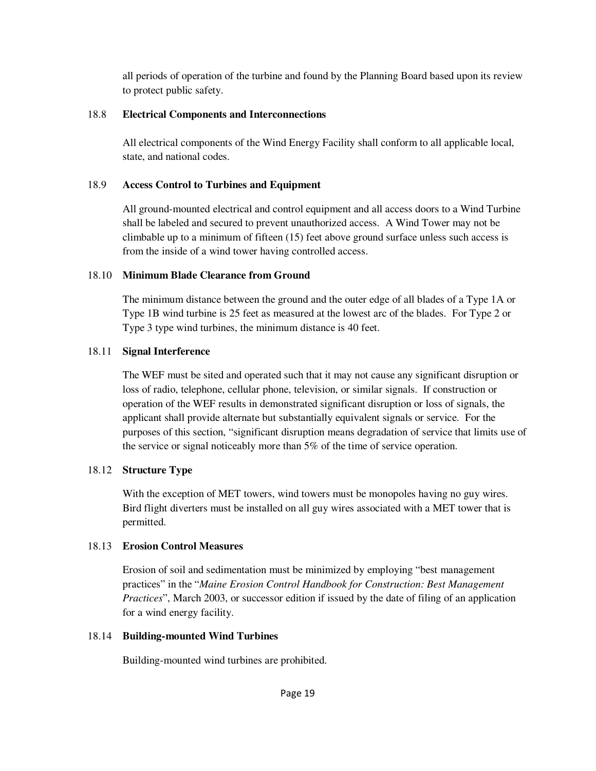all periods of operation of the turbine and found by the Planning Board based upon its review to protect public safety.

## 18.8 **Electrical Components and Interconnections**

All electrical components of the Wind Energy Facility shall conform to all applicable local, state, and national codes.

# 18.9 **Access Control to Turbines and Equipment**

All ground-mounted electrical and control equipment and all access doors to a Wind Turbine shall be labeled and secured to prevent unauthorized access. A Wind Tower may not be climbable up to a minimum of fifteen (15) feet above ground surface unless such access is from the inside of a wind tower having controlled access.

# 18.10 **Minimum Blade Clearance from Ground**

The minimum distance between the ground and the outer edge of all blades of a Type 1A or Type 1B wind turbine is 25 feet as measured at the lowest arc of the blades. For Type 2 or Type 3 type wind turbines, the minimum distance is 40 feet.

# 18.11 **Signal Interference**

The WEF must be sited and operated such that it may not cause any significant disruption or loss of radio, telephone, cellular phone, television, or similar signals. If construction or operation of the WEF results in demonstrated significant disruption or loss of signals, the applicant shall provide alternate but substantially equivalent signals or service. For the purposes of this section, "significant disruption means degradation of service that limits use of the service or signal noticeably more than 5% of the time of service operation.

# 18.12 **Structure Type**

With the exception of MET towers, wind towers must be monopoles having no guy wires. Bird flight diverters must be installed on all guy wires associated with a MET tower that is permitted.

# 18.13 **Erosion Control Measures**

Erosion of soil and sedimentation must be minimized by employing "best management practices" in the "*Maine Erosion Control Handbook for Construction: Best Management Practices*", March 2003, or successor edition if issued by the date of filing of an application for a wind energy facility.

# 18.14 **Building-mounted Wind Turbines**

Building-mounted wind turbines are prohibited.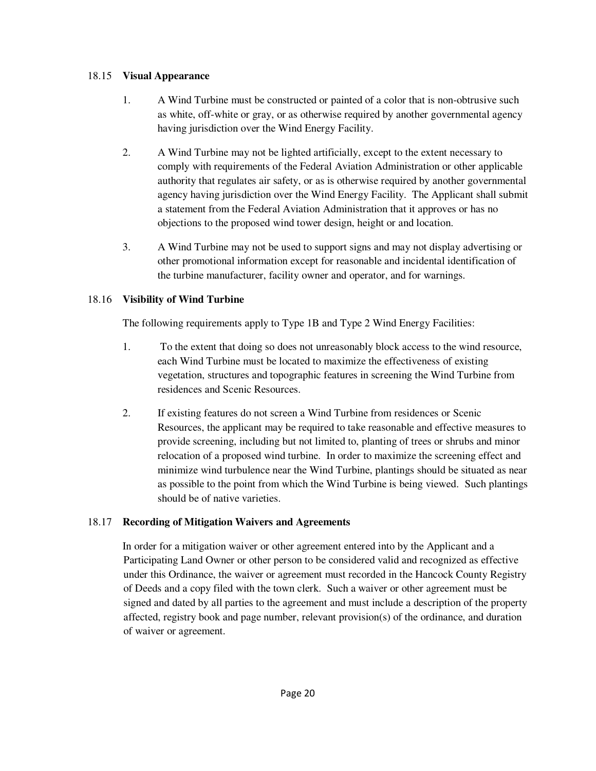## 18.15 **Visual Appearance**

- 1. A Wind Turbine must be constructed or painted of a color that is non-obtrusive such as white, off-white or gray, or as otherwise required by another governmental agency having jurisdiction over the Wind Energy Facility.
- 2. A Wind Turbine may not be lighted artificially, except to the extent necessary to comply with requirements of the Federal Aviation Administration or other applicable authority that regulates air safety, or as is otherwise required by another governmental agency having jurisdiction over the Wind Energy Facility. The Applicant shall submit a statement from the Federal Aviation Administration that it approves or has no objections to the proposed wind tower design, height or and location.
- 3. A Wind Turbine may not be used to support signs and may not display advertising or other promotional information except for reasonable and incidental identification of the turbine manufacturer, facility owner and operator, and for warnings.

## 18.16 **Visibility of Wind Turbine**

The following requirements apply to Type 1B and Type 2 Wind Energy Facilities:

- 1. To the extent that doing so does not unreasonably block access to the wind resource, each Wind Turbine must be located to maximize the effectiveness of existing vegetation, structures and topographic features in screening the Wind Turbine from residences and Scenic Resources.
- 2. If existing features do not screen a Wind Turbine from residences or Scenic Resources, the applicant may be required to take reasonable and effective measures to provide screening, including but not limited to, planting of trees or shrubs and minor relocation of a proposed wind turbine. In order to maximize the screening effect and minimize wind turbulence near the Wind Turbine, plantings should be situated as near as possible to the point from which the Wind Turbine is being viewed. Such plantings should be of native varieties.

# 18.17 **Recording of Mitigation Waivers and Agreements**

 In order for a mitigation waiver or other agreement entered into by the Applicant and a Participating Land Owner or other person to be considered valid and recognized as effective under this Ordinance, the waiver or agreement must recorded in the Hancock County Registry of Deeds and a copy filed with the town clerk. Such a waiver or other agreement must be signed and dated by all parties to the agreement and must include a description of the property affected, registry book and page number, relevant provision(s) of the ordinance, and duration of waiver or agreement.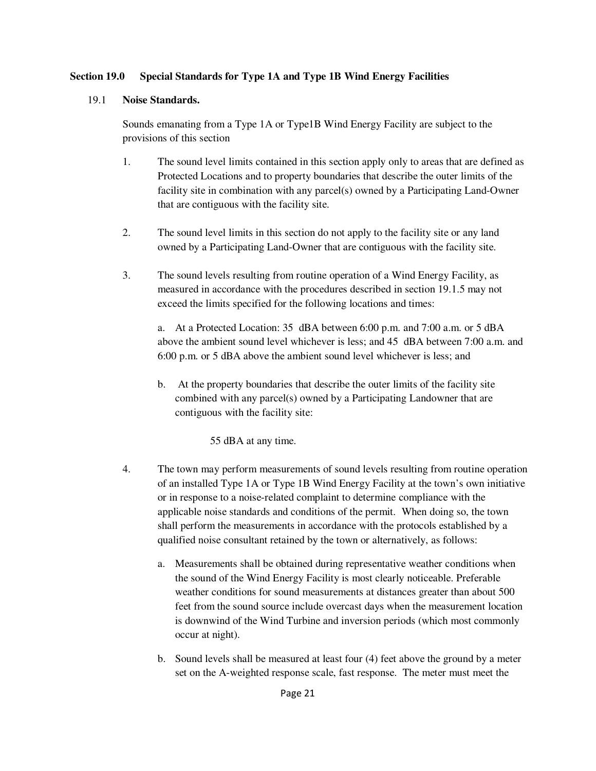#### **Section 19.0 Special Standards for Type 1A and Type 1B Wind Energy Facilities**

#### 19.1 **Noise Standards.**

 Sounds emanating from a Type 1A or Type1B Wind Energy Facility are subject to the provisions of this section

- 1. The sound level limits contained in this section apply only to areas that are defined as Protected Locations and to property boundaries that describe the outer limits of the facility site in combination with any parcel(s) owned by a Participating Land-Owner that are contiguous with the facility site.
- 2. The sound level limits in this section do not apply to the facility site or any land owned by a Participating Land-Owner that are contiguous with the facility site.
- 3. The sound levels resulting from routine operation of a Wind Energy Facility, as measured in accordance with the procedures described in section 19.1.5 may not exceed the limits specified for the following locations and times:

a. At a Protected Location: 35 dBA between 6:00 p.m. and 7:00 a.m. or 5 dBA above the ambient sound level whichever is less; and 45 dBA between 7:00 a.m. and 6:00 p.m. or 5 dBA above the ambient sound level whichever is less; and

b. At the property boundaries that describe the outer limits of the facility site combined with any parcel(s) owned by a Participating Landowner that are contiguous with the facility site:

55 dBA at any time.

- 4. The town may perform measurements of sound levels resulting from routine operation of an installed Type 1A or Type 1B Wind Energy Facility at the town's own initiative or in response to a noise-related complaint to determine compliance with the applicable noise standards and conditions of the permit. When doing so, the town shall perform the measurements in accordance with the protocols established by a qualified noise consultant retained by the town or alternatively, as follows:
	- a. Measurements shall be obtained during representative weather conditions when the sound of the Wind Energy Facility is most clearly noticeable. Preferable weather conditions for sound measurements at distances greater than about 500 feet from the sound source include overcast days when the measurement location is downwind of the Wind Turbine and inversion periods (which most commonly occur at night).
	- b. Sound levels shall be measured at least four (4) feet above the ground by a meter set on the A-weighted response scale, fast response. The meter must meet the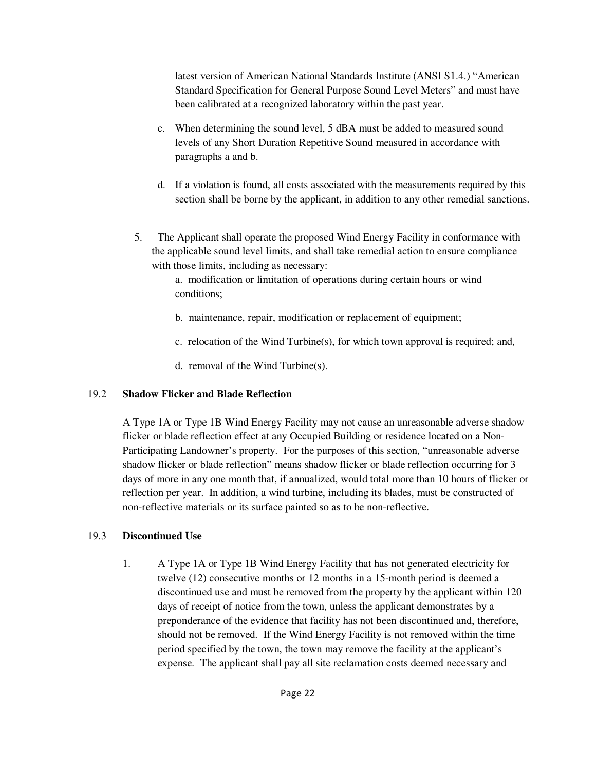latest version of American National Standards Institute (ANSI S1.4.) "American Standard Specification for General Purpose Sound Level Meters" and must have been calibrated at a recognized laboratory within the past year.

- c. When determining the sound level, 5 dBA must be added to measured sound levels of any Short Duration Repetitive Sound measured in accordance with paragraphs a and b.
- d. If a violation is found, all costs associated with the measurements required by this section shall be borne by the applicant, in addition to any other remedial sanctions.
- 5. The Applicant shall operate the proposed Wind Energy Facility in conformance with the applicable sound level limits, and shall take remedial action to ensure compliance with those limits, including as necessary:

a. modification or limitation of operations during certain hours or wind conditions;

- b. maintenance, repair, modification or replacement of equipment;
- c. relocation of the Wind Turbine(s), for which town approval is required; and,
- d. removal of the Wind Turbine(s).

# 19.2 **Shadow Flicker and Blade Reflection**

A Type 1A or Type 1B Wind Energy Facility may not cause an unreasonable adverse shadow flicker or blade reflection effect at any Occupied Building or residence located on a Non-Participating Landowner's property. For the purposes of this section, "unreasonable adverse shadow flicker or blade reflection" means shadow flicker or blade reflection occurring for 3 days of more in any one month that, if annualized, would total more than 10 hours of flicker or reflection per year. In addition, a wind turbine, including its blades, must be constructed of non-reflective materials or its surface painted so as to be non-reflective.

# 19.3 **Discontinued Use**

1. A Type 1A or Type 1B Wind Energy Facility that has not generated electricity for twelve (12) consecutive months or 12 months in a 15-month period is deemed a discontinued use and must be removed from the property by the applicant within 120 days of receipt of notice from the town, unless the applicant demonstrates by a preponderance of the evidence that facility has not been discontinued and, therefore, should not be removed. If the Wind Energy Facility is not removed within the time period specified by the town, the town may remove the facility at the applicant's expense. The applicant shall pay all site reclamation costs deemed necessary and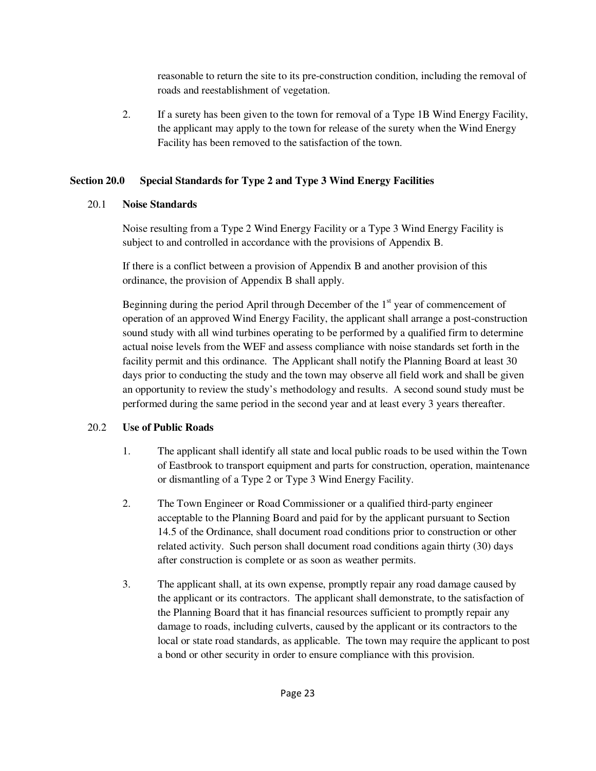reasonable to return the site to its pre-construction condition, including the removal of roads and reestablishment of vegetation.

2. If a surety has been given to the town for removal of a Type 1B Wind Energy Facility, the applicant may apply to the town for release of the surety when the Wind Energy Facility has been removed to the satisfaction of the town.

# **Section 20.0 Special Standards for Type 2 and Type 3 Wind Energy Facilities**

# 20.1 **Noise Standards**

Noise resulting from a Type 2 Wind Energy Facility or a Type 3 Wind Energy Facility is subject to and controlled in accordance with the provisions of Appendix B.

If there is a conflict between a provision of Appendix B and another provision of this ordinance, the provision of Appendix B shall apply.

Beginning during the period April through December of the  $1<sup>st</sup>$  year of commencement of operation of an approved Wind Energy Facility, the applicant shall arrange a post-construction sound study with all wind turbines operating to be performed by a qualified firm to determine actual noise levels from the WEF and assess compliance with noise standards set forth in the facility permit and this ordinance. The Applicant shall notify the Planning Board at least 30 days prior to conducting the study and the town may observe all field work and shall be given an opportunity to review the study's methodology and results. A second sound study must be performed during the same period in the second year and at least every 3 years thereafter.

# 20.2 **Use of Public Roads**

- 1. The applicant shall identify all state and local public roads to be used within the Town of Eastbrook to transport equipment and parts for construction, operation, maintenance or dismantling of a Type 2 or Type 3 Wind Energy Facility.
- 2. The Town Engineer or Road Commissioner or a qualified third-party engineer acceptable to the Planning Board and paid for by the applicant pursuant to Section 14.5 of the Ordinance, shall document road conditions prior to construction or other related activity. Such person shall document road conditions again thirty (30) days after construction is complete or as soon as weather permits.
- 3. The applicant shall, at its own expense, promptly repair any road damage caused by the applicant or its contractors. The applicant shall demonstrate, to the satisfaction of the Planning Board that it has financial resources sufficient to promptly repair any damage to roads, including culverts, caused by the applicant or its contractors to the local or state road standards, as applicable. The town may require the applicant to post a bond or other security in order to ensure compliance with this provision.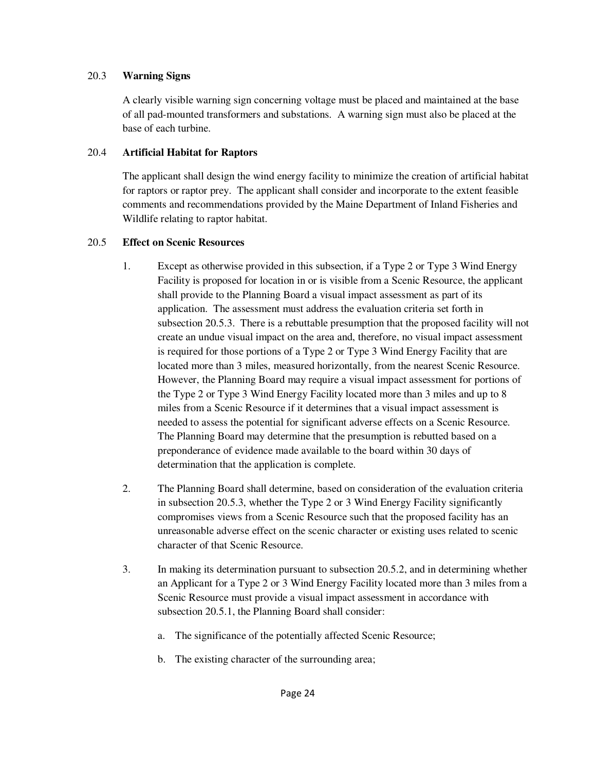#### 20.3 **Warning Signs**

A clearly visible warning sign concerning voltage must be placed and maintained at the base of all pad-mounted transformers and substations. A warning sign must also be placed at the base of each turbine.

## 20.4 **Artificial Habitat for Raptors**

The applicant shall design the wind energy facility to minimize the creation of artificial habitat for raptors or raptor prey. The applicant shall consider and incorporate to the extent feasible comments and recommendations provided by the Maine Department of Inland Fisheries and Wildlife relating to raptor habitat.

## 20.5 **Effect on Scenic Resources**

- 1. Except as otherwise provided in this subsection, if a Type 2 or Type 3 Wind Energy Facility is proposed for location in or is visible from a Scenic Resource, the applicant shall provide to the Planning Board a visual impact assessment as part of its application. The assessment must address the evaluation criteria set forth in subsection 20.5.3. There is a rebuttable presumption that the proposed facility will not create an undue visual impact on the area and, therefore, no visual impact assessment is required for those portions of a Type 2 or Type 3 Wind Energy Facility that are located more than 3 miles, measured horizontally, from the nearest Scenic Resource. However, the Planning Board may require a visual impact assessment for portions of the Type 2 or Type 3 Wind Energy Facility located more than 3 miles and up to 8 miles from a Scenic Resource if it determines that a visual impact assessment is needed to assess the potential for significant adverse effects on a Scenic Resource. The Planning Board may determine that the presumption is rebutted based on a preponderance of evidence made available to the board within 30 days of determination that the application is complete.
- 2. The Planning Board shall determine, based on consideration of the evaluation criteria in subsection 20.5.3, whether the Type 2 or 3 Wind Energy Facility significantly compromises views from a Scenic Resource such that the proposed facility has an unreasonable adverse effect on the scenic character or existing uses related to scenic character of that Scenic Resource.
- 3. In making its determination pursuant to subsection 20.5.2, and in determining whether an Applicant for a Type 2 or 3 Wind Energy Facility located more than 3 miles from a Scenic Resource must provide a visual impact assessment in accordance with subsection 20.5.1, the Planning Board shall consider:
	- a. The significance of the potentially affected Scenic Resource;
	- b. The existing character of the surrounding area;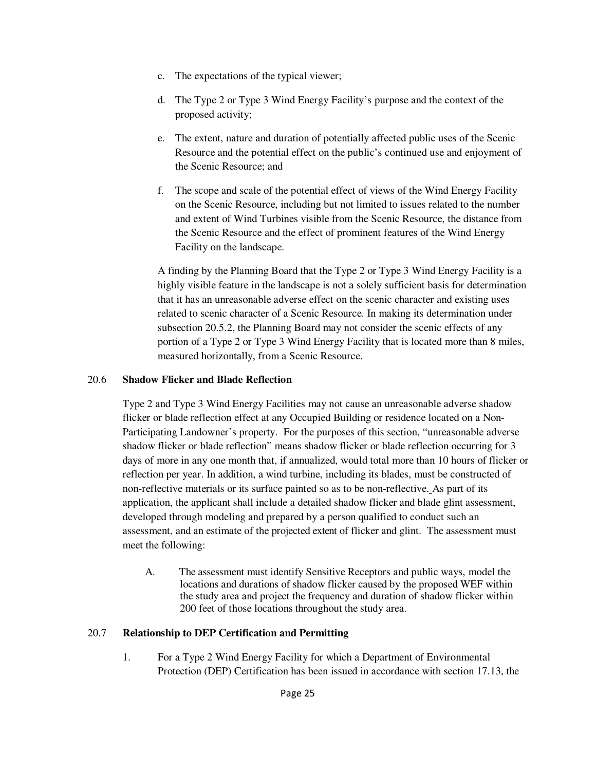- c. The expectations of the typical viewer;
- d. The Type 2 or Type 3 Wind Energy Facility's purpose and the context of the proposed activity;
- e. The extent, nature and duration of potentially affected public uses of the Scenic Resource and the potential effect on the public's continued use and enjoyment of the Scenic Resource; and
- f. The scope and scale of the potential effect of views of the Wind Energy Facility on the Scenic Resource, including but not limited to issues related to the number and extent of Wind Turbines visible from the Scenic Resource, the distance from the Scenic Resource and the effect of prominent features of the Wind Energy Facility on the landscape.

A finding by the Planning Board that the Type 2 or Type 3 Wind Energy Facility is a highly visible feature in the landscape is not a solely sufficient basis for determination that it has an unreasonable adverse effect on the scenic character and existing uses related to scenic character of a Scenic Resource. In making its determination under subsection 20.5.2, the Planning Board may not consider the scenic effects of any portion of a Type 2 or Type 3 Wind Energy Facility that is located more than 8 miles, measured horizontally, from a Scenic Resource.

#### 20.6 **Shadow Flicker and Blade Reflection**

Type 2 and Type 3 Wind Energy Facilities may not cause an unreasonable adverse shadow flicker or blade reflection effect at any Occupied Building or residence located on a Non-Participating Landowner's property. For the purposes of this section, "unreasonable adverse shadow flicker or blade reflection" means shadow flicker or blade reflection occurring for 3 days of more in any one month that, if annualized, would total more than 10 hours of flicker or reflection per year. In addition, a wind turbine, including its blades, must be constructed of non-reflective materials or its surface painted so as to be non-reflective. As part of its application, the applicant shall include a detailed shadow flicker and blade glint assessment, developed through modeling and prepared by a person qualified to conduct such an assessment, and an estimate of the projected extent of flicker and glint. The assessment must meet the following:

A. The assessment must identify Sensitive Receptors and public ways, model the locations and durations of shadow flicker caused by the proposed WEF within the study area and project the frequency and duration of shadow flicker within 200 feet of those locations throughout the study area.

#### 20.7 **Relationship to DEP Certification and Permitting**

1. For a Type 2 Wind Energy Facility for which a Department of Environmental Protection (DEP) Certification has been issued in accordance with section 17.13, the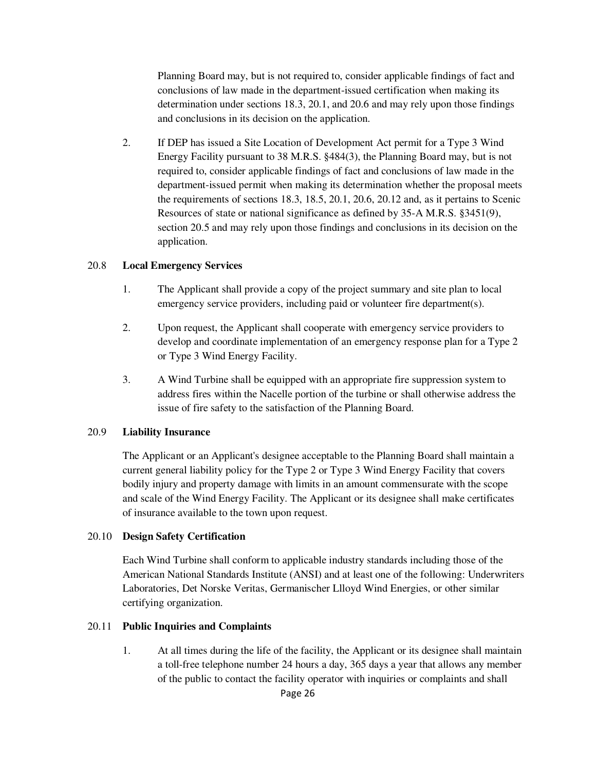Planning Board may, but is not required to, consider applicable findings of fact and conclusions of law made in the department-issued certification when making its determination under sections 18.3, 20.1, and 20.6 and may rely upon those findings and conclusions in its decision on the application.

2. If DEP has issued a Site Location of Development Act permit for a Type 3 Wind Energy Facility pursuant to 38 M.R.S. §484(3), the Planning Board may, but is not required to, consider applicable findings of fact and conclusions of law made in the department-issued permit when making its determination whether the proposal meets the requirements of sections 18.3, 18.5, 20.1, 20.6, 20.12 and, as it pertains to Scenic Resources of state or national significance as defined by 35-A M.R.S. §3451(9), section 20.5 and may rely upon those findings and conclusions in its decision on the application.

#### 20.8 **Local Emergency Services**

- 1. The Applicant shall provide a copy of the project summary and site plan to local emergency service providers, including paid or volunteer fire department(s).
- 2. Upon request, the Applicant shall cooperate with emergency service providers to develop and coordinate implementation of an emergency response plan for a Type 2 or Type 3 Wind Energy Facility.
- 3. A Wind Turbine shall be equipped with an appropriate fire suppression system to address fires within the Nacelle portion of the turbine or shall otherwise address the issue of fire safety to the satisfaction of the Planning Board.

#### 20.9 **Liability Insurance**

The Applicant or an Applicant's designee acceptable to the Planning Board shall maintain a current general liability policy for the Type 2 or Type 3 Wind Energy Facility that covers bodily injury and property damage with limits in an amount commensurate with the scope and scale of the Wind Energy Facility. The Applicant or its designee shall make certificates of insurance available to the town upon request.

#### 20.10 **Design Safety Certification**

Each Wind Turbine shall conform to applicable industry standards including those of the American National Standards Institute (ANSI) and at least one of the following: Underwriters Laboratories, Det Norske Veritas, Germanischer Llloyd Wind Energies, or other similar certifying organization.

#### 20.11 **Public Inquiries and Complaints**

1. At all times during the life of the facility, the Applicant or its designee shall maintain a toll-free telephone number 24 hours a day, 365 days a year that allows any member of the public to contact the facility operator with inquiries or complaints and shall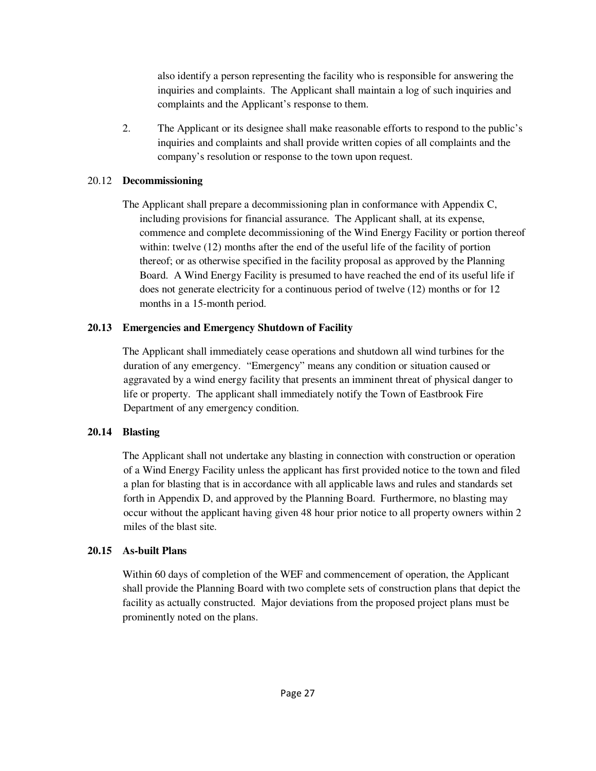also identify a person representing the facility who is responsible for answering the inquiries and complaints. The Applicant shall maintain a log of such inquiries and complaints and the Applicant's response to them.

2. The Applicant or its designee shall make reasonable efforts to respond to the public's inquiries and complaints and shall provide written copies of all complaints and the company's resolution or response to the town upon request.

## 20.12 **Decommissioning**

 The Applicant shall prepare a decommissioning plan in conformance with Appendix C, including provisions for financial assurance. The Applicant shall, at its expense, commence and complete decommissioning of the Wind Energy Facility or portion thereof within: twelve (12) months after the end of the useful life of the facility of portion thereof; or as otherwise specified in the facility proposal as approved by the Planning Board. A Wind Energy Facility is presumed to have reached the end of its useful life if does not generate electricity for a continuous period of twelve (12) months or for 12 months in a 15-month period.

# **20.13 Emergencies and Emergency Shutdown of Facility**

 The Applicant shall immediately cease operations and shutdown all wind turbines for the duration of any emergency. "Emergency" means any condition or situation caused or aggravated by a wind energy facility that presents an imminent threat of physical danger to life or property. The applicant shall immediately notify the Town of Eastbrook Fire Department of any emergency condition.

# **20.14 Blasting**

 The Applicant shall not undertake any blasting in connection with construction or operation of a Wind Energy Facility unless the applicant has first provided notice to the town and filed a plan for blasting that is in accordance with all applicable laws and rules and standards set forth in Appendix D, and approved by the Planning Board. Furthermore, no blasting may occur without the applicant having given 48 hour prior notice to all property owners within 2 miles of the blast site.

# **20.15 As-built Plans**

Within 60 days of completion of the WEF and commencement of operation, the Applicant shall provide the Planning Board with two complete sets of construction plans that depict the facility as actually constructed. Major deviations from the proposed project plans must be prominently noted on the plans.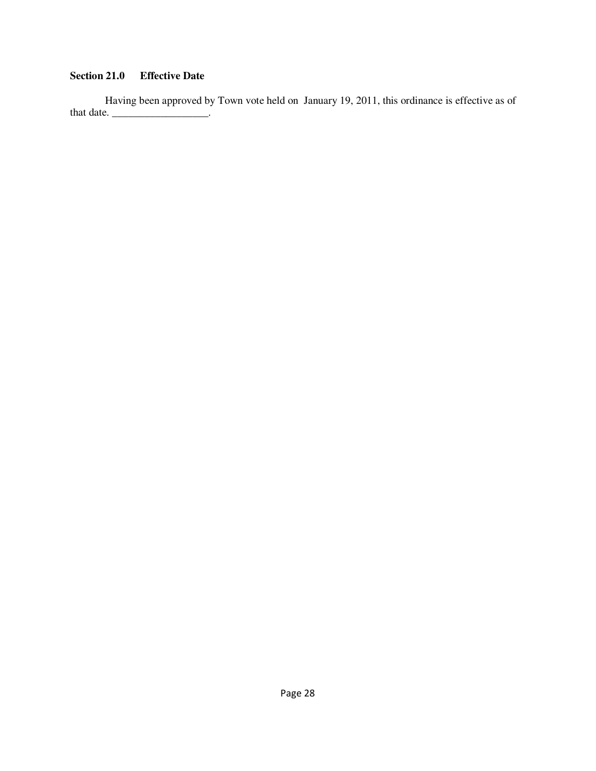# **Section 21.0 Effective Date**

 Having been approved by Town vote held on January 19, 2011, this ordinance is effective as of that date. \_\_\_\_\_\_\_\_\_\_\_\_\_\_\_\_\_\_\_\_\_.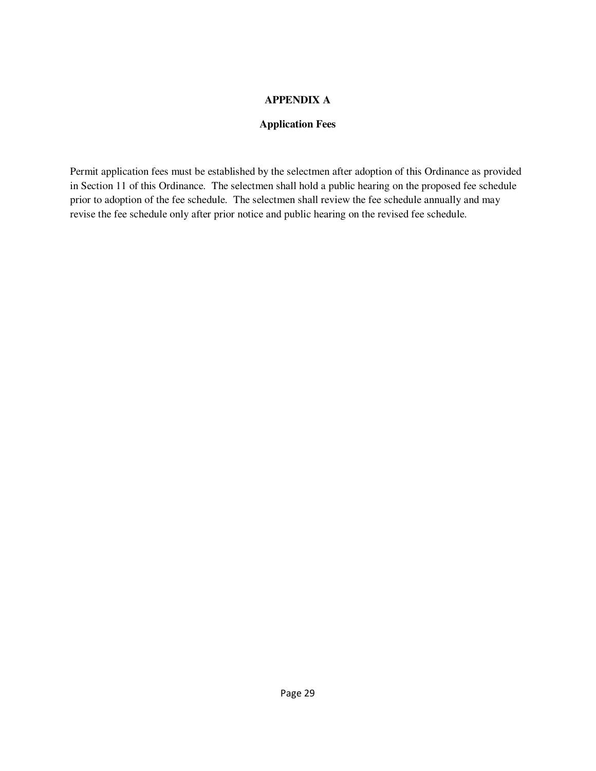## **APPENDIX A**

## **Application Fees**

Permit application fees must be established by the selectmen after adoption of this Ordinance as provided in Section 11 of this Ordinance. The selectmen shall hold a public hearing on the proposed fee schedule prior to adoption of the fee schedule. The selectmen shall review the fee schedule annually and may revise the fee schedule only after prior notice and public hearing on the revised fee schedule.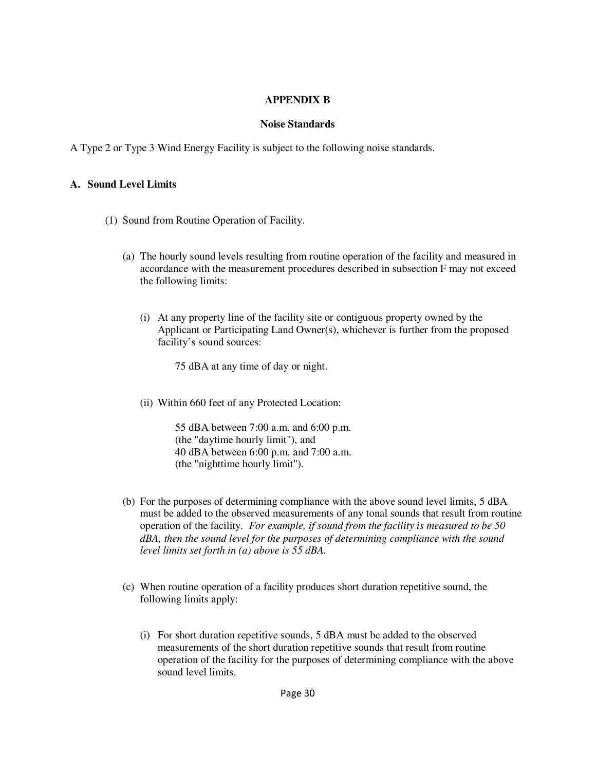#### **APPENDIX B**

#### **Noise Standards**

A Type 2 or Type 3 Wind Energy Facility is subject to the following noise standards.

#### **A. Sound Level Limits**

- (1) Sound from Routine Operation of Facility.
	- (a) The hourly sound levels resulting from routine operation of the facility and measured in accordance with the measurement procedures described in subsection F may not exceed the following limits:
		- (i) At any property line of the facility site or contiguous property owned by the Applicant or Participating Land Owner(s), whichever is further from the proposed facility's sound sources:

75 dBA at any time of day or night.

(ii) Within 660 feet of any Protected Location:

55 dBA between 7:00 a.m. and 6:00 p.m. (the "daytime hourly limit"), and 40 dBA between 6:00 p.m. and 7:00 a.m. (the "nighttime hourly limit").

- (b) For the purposes of determining compliance with the above sound level limits, 5 dBA must be added to the observed measurements of any tonal sounds that result from routine operation of the facility. *For example, if sound from the facility is measured to be 50 dBA, then the sound level for the purposes of determining compliance with the sound level limits set forth in (a) above is 55 dBA.*
- (c) When routine operation of a facility produces short duration repetitive sound, the following limits apply:
	- (i) For short duration repetitive sounds, 5 dBA must be added to the observed measurements of the short duration repetitive sounds that result from routine operation of the facility for the purposes of determining compliance with the above sound level limits.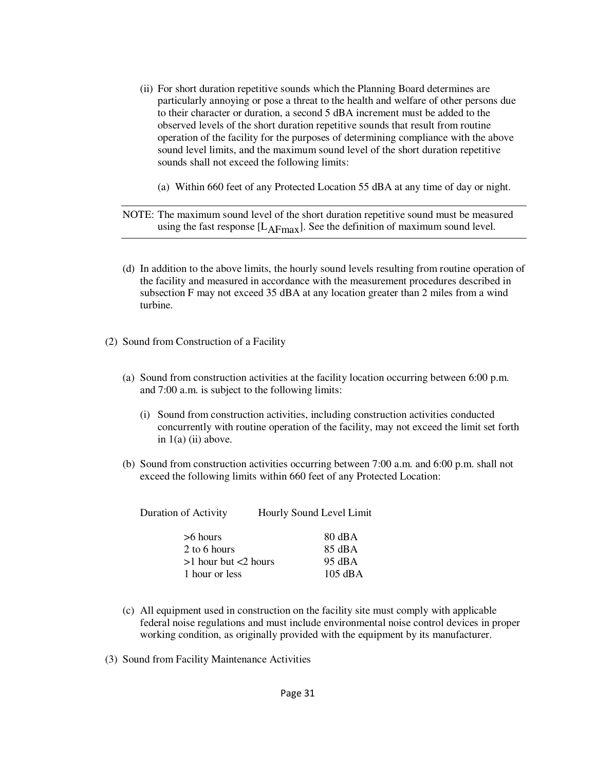- (ii) For short duration repetitive sounds which the Planning Board determines are particularly annoying or pose a threat to the health and welfare of other persons due to their character or duration, a second 5 dBA increment must be added to the observed levels of the short duration repetitive sounds that result from routine operation of the facility for the purposes of determining compliance with the above sound level limits, and the maximum sound level of the short duration repetitive sounds shall not exceed the following limits:
	- (a) Within 660 feet of any Protected Location 55 dBA at any time of day or night.

NOTE: The maximum sound level of the short duration repetitive sound must be measured using the fast response  $[L_{\text{AFmax}}]$ . See the definition of maximum sound level.

- (d) In addition to the above limits, the hourly sound levels resulting from routine operation of the facility and measured in accordance with the measurement procedures described in subsection F may not exceed 35 dBA at any location greater than 2 miles from a wind turbine.
- (2) Sound from Construction of a Facility
	- (a) Sound from construction activities at the facility location occurring between 6:00 p.m. and 7:00 a.m. is subject to the following limits:
		- (i) Sound from construction activities, including construction activities conducted concurrently with routine operation of the facility, may not exceed the limit set forth in  $1(a)$  (ii) above.
	- (b) Sound from construction activities occurring between 7:00 a.m. and 6:00 p.m. shall not exceed the following limits within 660 feet of any Protected Location:

| <b>Duration of Activity</b>                                            | Hourly Sound Level Limit                                                        |  |  |
|------------------------------------------------------------------------|---------------------------------------------------------------------------------|--|--|
| >6 hours<br>2 to 6 hours<br>$>1$ hour but $<2$ hours<br>1 hour or less | $80 \text{ dBA}$<br>$85 \text{ dB}$ A<br>$95 \text{ dBA}$<br>$105 \text{ dB}$ A |  |  |
|                                                                        |                                                                                 |  |  |

- (c) All equipment used in construction on the facility site must comply with applicable federal noise regulations and must include environmental noise control devices in proper working condition, as originally provided with the equipment by its manufacturer.
- (3) Sound from Facility Maintenance Activities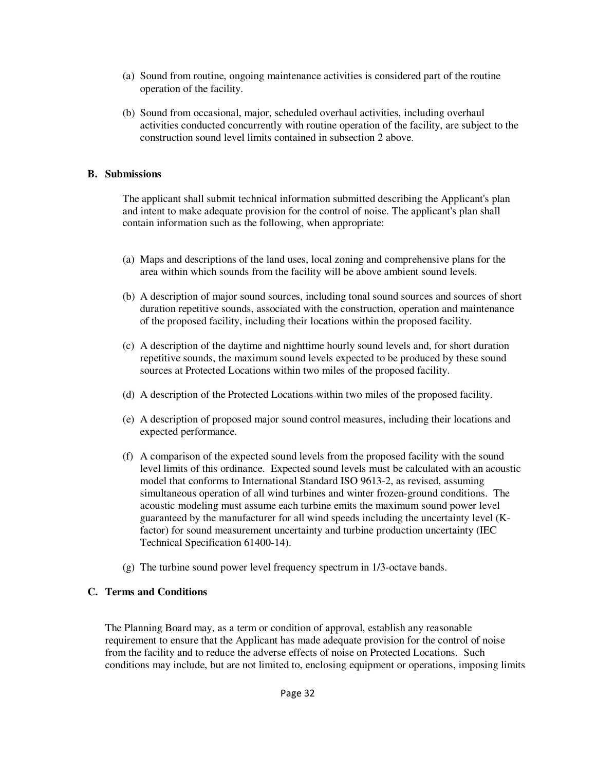- (a) Sound from routine, ongoing maintenance activities is considered part of the routine operation of the facility.
- (b) Sound from occasional, major, scheduled overhaul activities, including overhaul activities conducted concurrently with routine operation of the facility, are subject to the construction sound level limits contained in subsection 2 above.

## **B. Submissions**

 The applicant shall submit technical information submitted describing the Applicant's plan and intent to make adequate provision for the control of noise. The applicant's plan shall contain information such as the following, when appropriate:

- (a) Maps and descriptions of the land uses, local zoning and comprehensive plans for the area within which sounds from the facility will be above ambient sound levels.
- (b) A description of major sound sources, including tonal sound sources and sources of short duration repetitive sounds, associated with the construction, operation and maintenance of the proposed facility, including their locations within the proposed facility.
- (c) A description of the daytime and nighttime hourly sound levels and, for short duration repetitive sounds, the maximum sound levels expected to be produced by these sound sources at Protected Locations within two miles of the proposed facility.
- (d) A description of the Protected Locations within two miles of the proposed facility.
- (e) A description of proposed major sound control measures, including their locations and expected performance.
- (f) A comparison of the expected sound levels from the proposed facility with the sound level limits of this ordinance. Expected sound levels must be calculated with an acoustic model that conforms to International Standard ISO 9613-2, as revised, assuming simultaneous operation of all wind turbines and winter frozen-ground conditions. The acoustic modeling must assume each turbine emits the maximum sound power level guaranteed by the manufacturer for all wind speeds including the uncertainty level (Kfactor) for sound measurement uncertainty and turbine production uncertainty (IEC Technical Specification 61400-14).
- (g) The turbine sound power level frequency spectrum in 1/3-octave bands.

# **C. Terms and Conditions**

 The Planning Board may, as a term or condition of approval, establish any reasonable requirement to ensure that the Applicant has made adequate provision for the control of noise from the facility and to reduce the adverse effects of noise on Protected Locations. Such conditions may include, but are not limited to, enclosing equipment or operations, imposing limits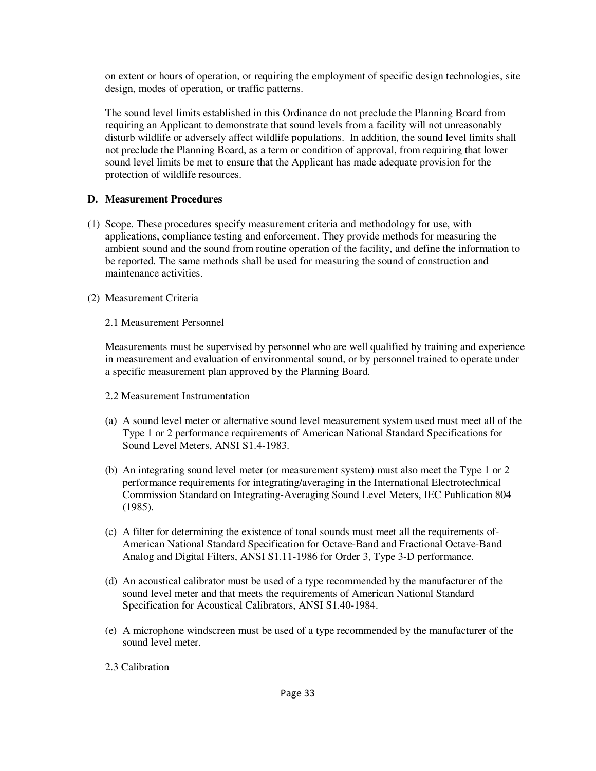on extent or hours of operation, or requiring the employment of specific design technologies, site design, modes of operation, or traffic patterns.

 The sound level limits established in this Ordinance do not preclude the Planning Board from requiring an Applicant to demonstrate that sound levels from a facility will not unreasonably disturb wildlife or adversely affect wildlife populations. In addition, the sound level limits shall not preclude the Planning Board, as a term or condition of approval, from requiring that lower sound level limits be met to ensure that the Applicant has made adequate provision for the protection of wildlife resources.

#### **D. Measurement Procedures**

- (1) Scope. These procedures specify measurement criteria and methodology for use, with applications, compliance testing and enforcement. They provide methods for measuring the ambient sound and the sound from routine operation of the facility, and define the information to be reported. The same methods shall be used for measuring the sound of construction and maintenance activities.
- (2) Measurement Criteria

#### 2.1 Measurement Personnel

 Measurements must be supervised by personnel who are well qualified by training and experience in measurement and evaluation of environmental sound, or by personnel trained to operate under a specific measurement plan approved by the Planning Board.

- 2.2 Measurement Instrumentation
- (a) A sound level meter or alternative sound level measurement system used must meet all of the Type 1 or 2 performance requirements of American National Standard Specifications for Sound Level Meters, ANSI S1.4-1983.
- (b) An integrating sound level meter (or measurement system) must also meet the Type 1 or 2 performance requirements for integrating/averaging in the International Electrotechnical Commission Standard on Integrating-Averaging Sound Level Meters, IEC Publication 804 (1985).
- (c) A filter for determining the existence of tonal sounds must meet all the requirements of-American National Standard Specification for Octave-Band and Fractional Octave-Band Analog and Digital Filters, ANSI S1.11-1986 for Order 3, Type 3-D performance.
- (d) An acoustical calibrator must be used of a type recommended by the manufacturer of the sound level meter and that meets the requirements of American National Standard Specification for Acoustical Calibrators, ANSI S1.40-1984.
- (e) A microphone windscreen must be used of a type recommended by the manufacturer of the sound level meter.
- 2.3 Calibration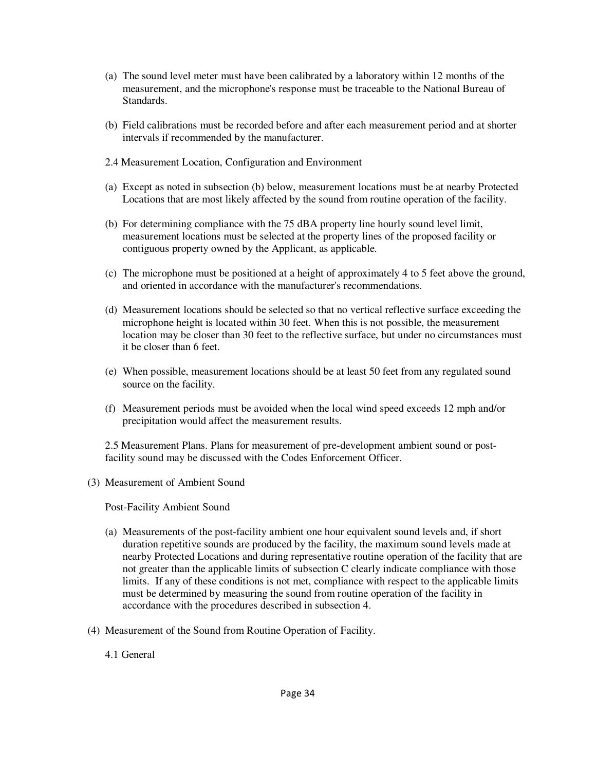- (a) The sound level meter must have been calibrated by a laboratory within 12 months of the measurement, and the microphone's response must be traceable to the National Bureau of Standards.
- (b) Field calibrations must be recorded before and after each measurement period and at shorter intervals if recommended by the manufacturer.
- 2.4 Measurement Location, Configuration and Environment
- (a) Except as noted in subsection (b) below, measurement locations must be at nearby Protected Locations that are most likely affected by the sound from routine operation of the facility.
- (b) For determining compliance with the 75 dBA property line hourly sound level limit, measurement locations must be selected at the property lines of the proposed facility or contiguous property owned by the Applicant, as applicable.
- (c) The microphone must be positioned at a height of approximately 4 to 5 feet above the ground, and oriented in accordance with the manufacturer's recommendations.
- (d) Measurement locations should be selected so that no vertical reflective surface exceeding the microphone height is located within 30 feet. When this is not possible, the measurement location may be closer than 30 feet to the reflective surface, but under no circumstances must it be closer than 6 feet.
- (e) When possible, measurement locations should be at least 50 feet from any regulated sound source on the facility.
- (f) Measurement periods must be avoided when the local wind speed exceeds 12 mph and/or precipitation would affect the measurement results.

2.5 Measurement Plans. Plans for measurement of pre-development ambient sound or postfacility sound may be discussed with the Codes Enforcement Officer.

(3) Measurement of Ambient Sound

Post-Facility Ambient Sound

- (a) Measurements of the post-facility ambient one hour equivalent sound levels and, if short duration repetitive sounds are produced by the facility, the maximum sound levels made at nearby Protected Locations and during representative routine operation of the facility that are not greater than the applicable limits of subsection C clearly indicate compliance with those limits. If any of these conditions is not met, compliance with respect to the applicable limits must be determined by measuring the sound from routine operation of the facility in accordance with the procedures described in subsection 4.
- (4) Measurement of the Sound from Routine Operation of Facility.
	- 4.1 General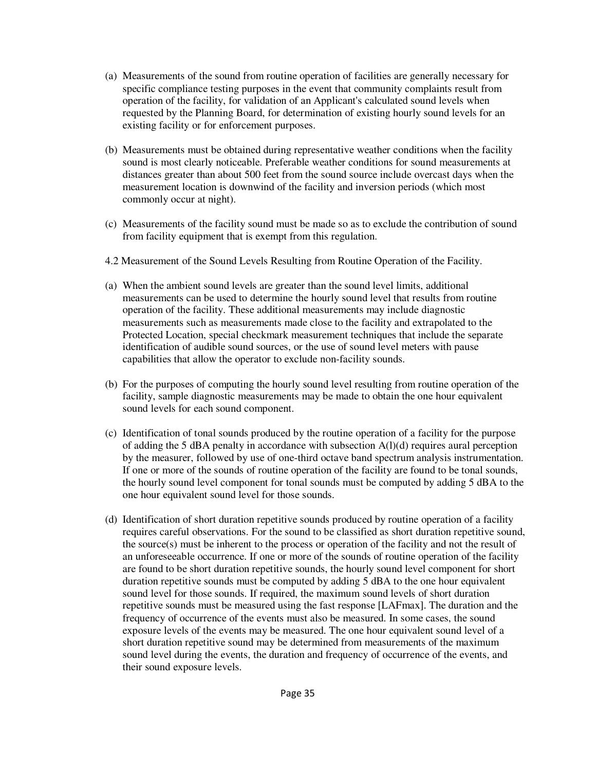- (a) Measurements of the sound from routine operation of facilities are generally necessary for specific compliance testing purposes in the event that community complaints result from operation of the facility, for validation of an Applicant's calculated sound levels when requested by the Planning Board, for determination of existing hourly sound levels for an existing facility or for enforcement purposes.
- (b) Measurements must be obtained during representative weather conditions when the facility sound is most clearly noticeable. Preferable weather conditions for sound measurements at distances greater than about 500 feet from the sound source include overcast days when the measurement location is downwind of the facility and inversion periods (which most commonly occur at night).
- (c) Measurements of the facility sound must be made so as to exclude the contribution of sound from facility equipment that is exempt from this regulation.
- 4.2 Measurement of the Sound Levels Resulting from Routine Operation of the Facility.
- (a) When the ambient sound levels are greater than the sound level limits, additional measurements can be used to determine the hourly sound level that results from routine operation of the facility. These additional measurements may include diagnostic measurements such as measurements made close to the facility and extrapolated to the Protected Location, special checkmark measurement techniques that include the separate identification of audible sound sources, or the use of sound level meters with pause capabilities that allow the operator to exclude non-facility sounds.
- (b) For the purposes of computing the hourly sound level resulting from routine operation of the facility, sample diagnostic measurements may be made to obtain the one hour equivalent sound levels for each sound component.
- (c) Identification of tonal sounds produced by the routine operation of a facility for the purpose of adding the 5 dBA penalty in accordance with subsection A(l)(d) requires aural perception by the measurer, followed by use of one-third octave band spectrum analysis instrumentation. If one or more of the sounds of routine operation of the facility are found to be tonal sounds, the hourly sound level component for tonal sounds must be computed by adding 5 dBA to the one hour equivalent sound level for those sounds.
- (d) Identification of short duration repetitive sounds produced by routine operation of a facility requires careful observations. For the sound to be classified as short duration repetitive sound, the source(s) must be inherent to the process or operation of the facility and not the result of an unforeseeable occurrence. If one or more of the sounds of routine operation of the facility are found to be short duration repetitive sounds, the hourly sound level component for short duration repetitive sounds must be computed by adding 5 dBA to the one hour equivalent sound level for those sounds. If required, the maximum sound levels of short duration repetitive sounds must be measured using the fast response [LAFmax]. The duration and the frequency of occurrence of the events must also be measured. In some cases, the sound exposure levels of the events may be measured. The one hour equivalent sound level of a short duration repetitive sound may be determined from measurements of the maximum sound level during the events, the duration and frequency of occurrence of the events, and their sound exposure levels.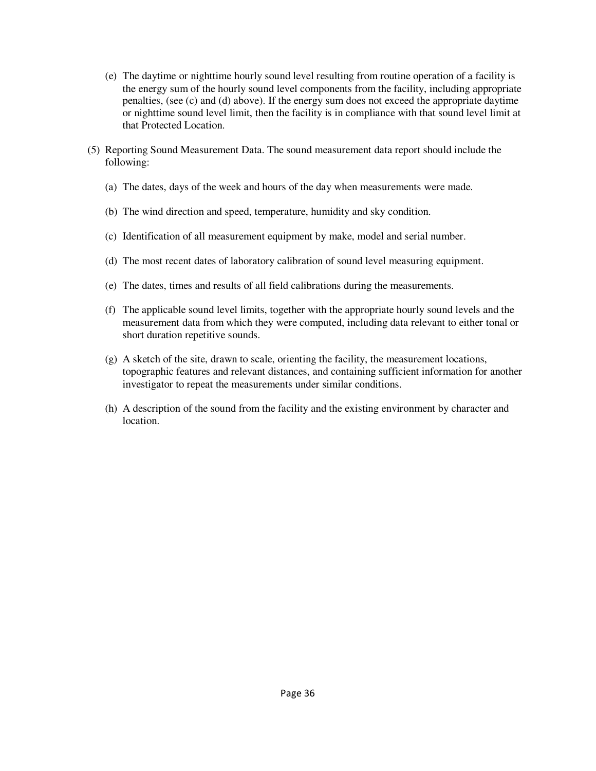- (e) The daytime or nighttime hourly sound level resulting from routine operation of a facility is the energy sum of the hourly sound level components from the facility, including appropriate penalties, (see (c) and (d) above). If the energy sum does not exceed the appropriate daytime or nighttime sound level limit, then the facility is in compliance with that sound level limit at that Protected Location.
- (5) Reporting Sound Measurement Data. The sound measurement data report should include the following:
	- (a) The dates, days of the week and hours of the day when measurements were made.
	- (b) The wind direction and speed, temperature, humidity and sky condition.
	- (c) Identification of all measurement equipment by make, model and serial number.
	- (d) The most recent dates of laboratory calibration of sound level measuring equipment.
	- (e) The dates, times and results of all field calibrations during the measurements.
	- (f) The applicable sound level limits, together with the appropriate hourly sound levels and the measurement data from which they were computed, including data relevant to either tonal or short duration repetitive sounds.
	- $(g)$  A sketch of the site, drawn to scale, orienting the facility, the measurement locations, topographic features and relevant distances, and containing sufficient information for another investigator to repeat the measurements under similar conditions.
	- (h) A description of the sound from the facility and the existing environment by character and location.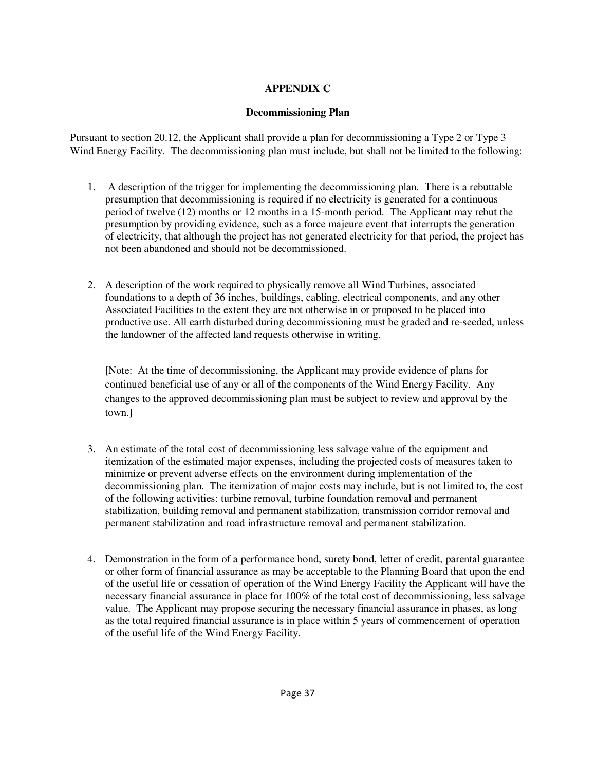# **APPENDIX C**

## **Decommissioning Plan**

Pursuant to section 20.12, the Applicant shall provide a plan for decommissioning a Type 2 or Type 3 Wind Energy Facility. The decommissioning plan must include, but shall not be limited to the following:

- 1. A description of the trigger for implementing the decommissioning plan. There is a rebuttable presumption that decommissioning is required if no electricity is generated for a continuous period of twelve (12) months or 12 months in a 15-month period. The Applicant may rebut the presumption by providing evidence, such as a force majeure event that interrupts the generation of electricity, that although the project has not generated electricity for that period, the project has not been abandoned and should not be decommissioned.
- 2. A description of the work required to physically remove all Wind Turbines, associated foundations to a depth of 36 inches, buildings, cabling, electrical components, and any other Associated Facilities to the extent they are not otherwise in or proposed to be placed into productive use. All earth disturbed during decommissioning must be graded and re-seeded, unless the landowner of the affected land requests otherwise in writing.

[Note: At the time of decommissioning, the Applicant may provide evidence of plans for continued beneficial use of any or all of the components of the Wind Energy Facility. Any changes to the approved decommissioning plan must be subject to review and approval by the town.]

- 3. An estimate of the total cost of decommissioning less salvage value of the equipment and itemization of the estimated major expenses, including the projected costs of measures taken to minimize or prevent adverse effects on the environment during implementation of the decommissioning plan. The itemization of major costs may include, but is not limited to, the cost of the following activities: turbine removal, turbine foundation removal and permanent stabilization, building removal and permanent stabilization, transmission corridor removal and permanent stabilization and road infrastructure removal and permanent stabilization.
- 4. Demonstration in the form of a performance bond, surety bond, letter of credit, parental guarantee or other form of financial assurance as may be acceptable to the Planning Board that upon the end of the useful life or cessation of operation of the Wind Energy Facility the Applicant will have the necessary financial assurance in place for 100% of the total cost of decommissioning, less salvage value. The Applicant may propose securing the necessary financial assurance in phases, as long as the total required financial assurance is in place within 5 years of commencement of operation of the useful life of the Wind Energy Facility.